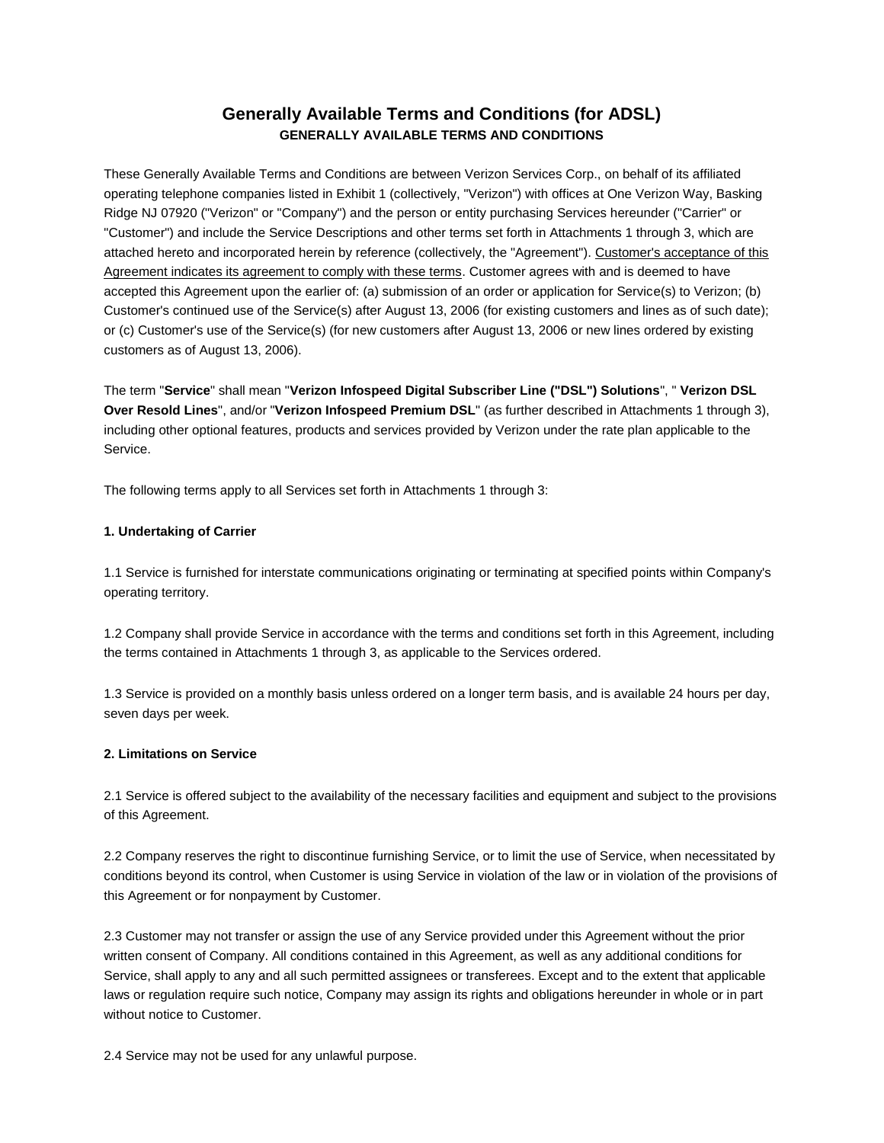# **Generally Available Terms and Conditions (for ADSL) GENERALLY AVAILABLE TERMS AND CONDITIONS**

These Generally Available Terms and Conditions are between Verizon Services Corp., on behalf of its affiliated operating telephone companies listed in Exhibit 1 (collectively, "Verizon") with offices at One Verizon Way, Basking Ridge NJ 07920 ("Verizon" or "Company") and the person or entity purchasing Services hereunder ("Carrier" or "Customer") and include the Service Descriptions and other terms set forth in Attachments 1 through 3, which are attached hereto and incorporated herein by reference (collectively, the "Agreement"). Customer's acceptance of this Agreement indicates its agreement to comply with these terms. Customer agrees with and is deemed to have accepted this Agreement upon the earlier of: (a) submission of an order or application for Service(s) to Verizon; (b) Customer's continued use of the Service(s) after August 13, 2006 (for existing customers and lines as of such date); or (c) Customer's use of the Service(s) (for new customers after August 13, 2006 or new lines ordered by existing customers as of August 13, 2006).

The term "**Service**" shall mean "**Verizon Infospeed Digital Subscriber Line ("DSL") Solutions**", " **Verizon DSL Over Resold Lines**", and/or "**Verizon Infospeed Premium DSL**" (as further described in Attachments 1 through 3), including other optional features, products and services provided by Verizon under the rate plan applicable to the Service.

The following terms apply to all Services set forth in Attachments 1 through 3:

# **1. Undertaking of Carrier**

1.1 Service is furnished for interstate communications originating or terminating at specified points within Company's operating territory.

1.2 Company shall provide Service in accordance with the terms and conditions set forth in this Agreement, including the terms contained in Attachments 1 through 3, as applicable to the Services ordered.

1.3 Service is provided on a monthly basis unless ordered on a longer term basis, and is available 24 hours per day, seven days per week.

## **2. Limitations on Service**

2.1 Service is offered subject to the availability of the necessary facilities and equipment and subject to the provisions of this Agreement.

2.2 Company reserves the right to discontinue furnishing Service, or to limit the use of Service, when necessitated by conditions beyond its control, when Customer is using Service in violation of the law or in violation of the provisions of this Agreement or for nonpayment by Customer.

2.3 Customer may not transfer or assign the use of any Service provided under this Agreement without the prior written consent of Company. All conditions contained in this Agreement, as well as any additional conditions for Service, shall apply to any and all such permitted assignees or transferees. Except and to the extent that applicable laws or regulation require such notice, Company may assign its rights and obligations hereunder in whole or in part without notice to Customer.

2.4 Service may not be used for any unlawful purpose.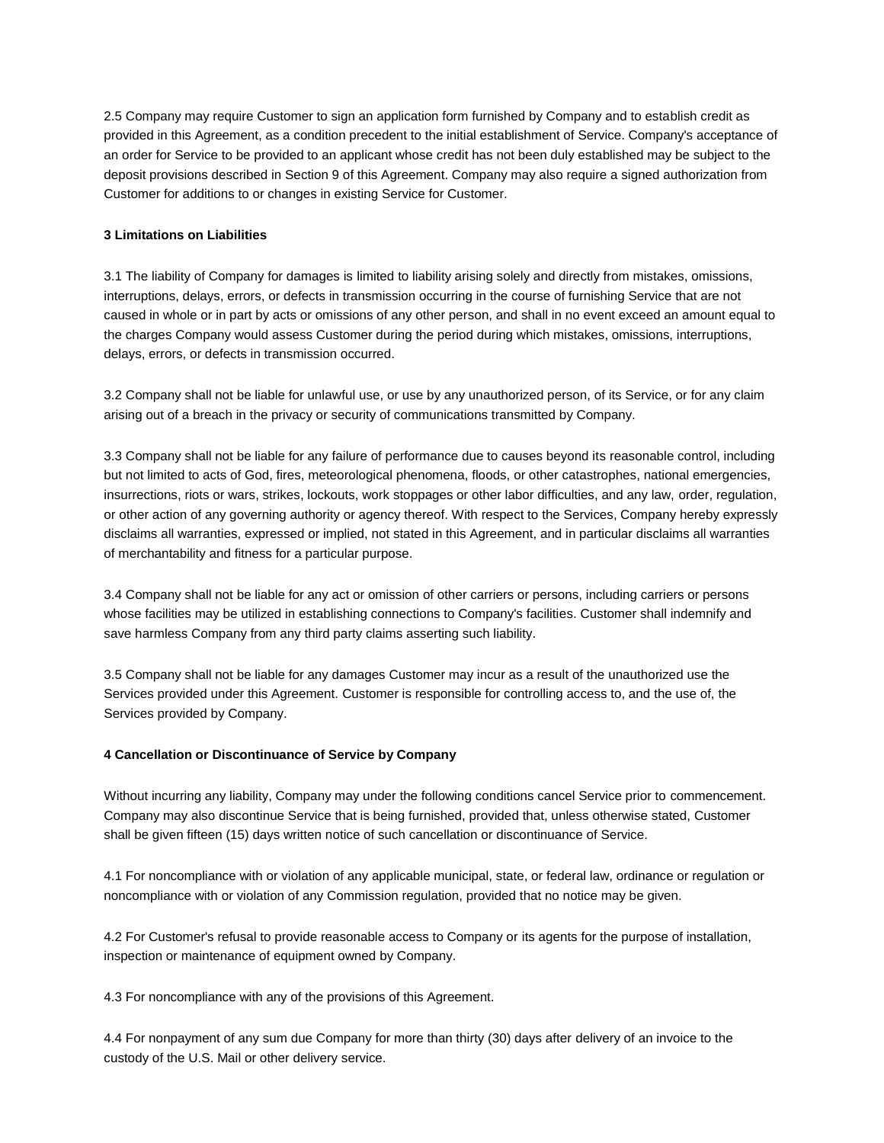2.5 Company may require Customer to sign an application form furnished by Company and to establish credit as provided in this Agreement, as a condition precedent to the initial establishment of Service. Company's acceptance of an order for Service to be provided to an applicant whose credit has not been duly established may be subject to the deposit provisions described in Section 9 of this Agreement. Company may also require a signed authorization from Customer for additions to or changes in existing Service for Customer.

# **3 Limitations on Liabilities**

3.1 The liability of Company for damages is limited to liability arising solely and directly from mistakes, omissions, interruptions, delays, errors, or defects in transmission occurring in the course of furnishing Service that are not caused in whole or in part by acts or omissions of any other person, and shall in no event exceed an amount equal to the charges Company would assess Customer during the period during which mistakes, omissions, interruptions, delays, errors, or defects in transmission occurred.

3.2 Company shall not be liable for unlawful use, or use by any unauthorized person, of its Service, or for any claim arising out of a breach in the privacy or security of communications transmitted by Company.

3.3 Company shall not be liable for any failure of performance due to causes beyond its reasonable control, including but not limited to acts of God, fires, meteorological phenomena, floods, or other catastrophes, national emergencies, insurrections, riots or wars, strikes, lockouts, work stoppages or other labor difficulties, and any law, order, regulation, or other action of any governing authority or agency thereof. With respect to the Services, Company hereby expressly disclaims all warranties, expressed or implied, not stated in this Agreement, and in particular disclaims all warranties of merchantability and fitness for a particular purpose.

3.4 Company shall not be liable for any act or omission of other carriers or persons, including carriers or persons whose facilities may be utilized in establishing connections to Company's facilities. Customer shall indemnify and save harmless Company from any third party claims asserting such liability.

3.5 Company shall not be liable for any damages Customer may incur as a result of the unauthorized use the Services provided under this Agreement. Customer is responsible for controlling access to, and the use of, the Services provided by Company.

## **4 Cancellation or Discontinuance of Service by Company**

Without incurring any liability, Company may under the following conditions cancel Service prior to commencement. Company may also discontinue Service that is being furnished, provided that, unless otherwise stated, Customer shall be given fifteen (15) days written notice of such cancellation or discontinuance of Service.

4.1 For noncompliance with or violation of any applicable municipal, state, or federal law, ordinance or regulation or noncompliance with or violation of any Commission regulation, provided that no notice may be given.

4.2 For Customer's refusal to provide reasonable access to Company or its agents for the purpose of installation, inspection or maintenance of equipment owned by Company.

4.3 For noncompliance with any of the provisions of this Agreement.

4.4 For nonpayment of any sum due Company for more than thirty (30) days after delivery of an invoice to the custody of the U.S. Mail or other delivery service.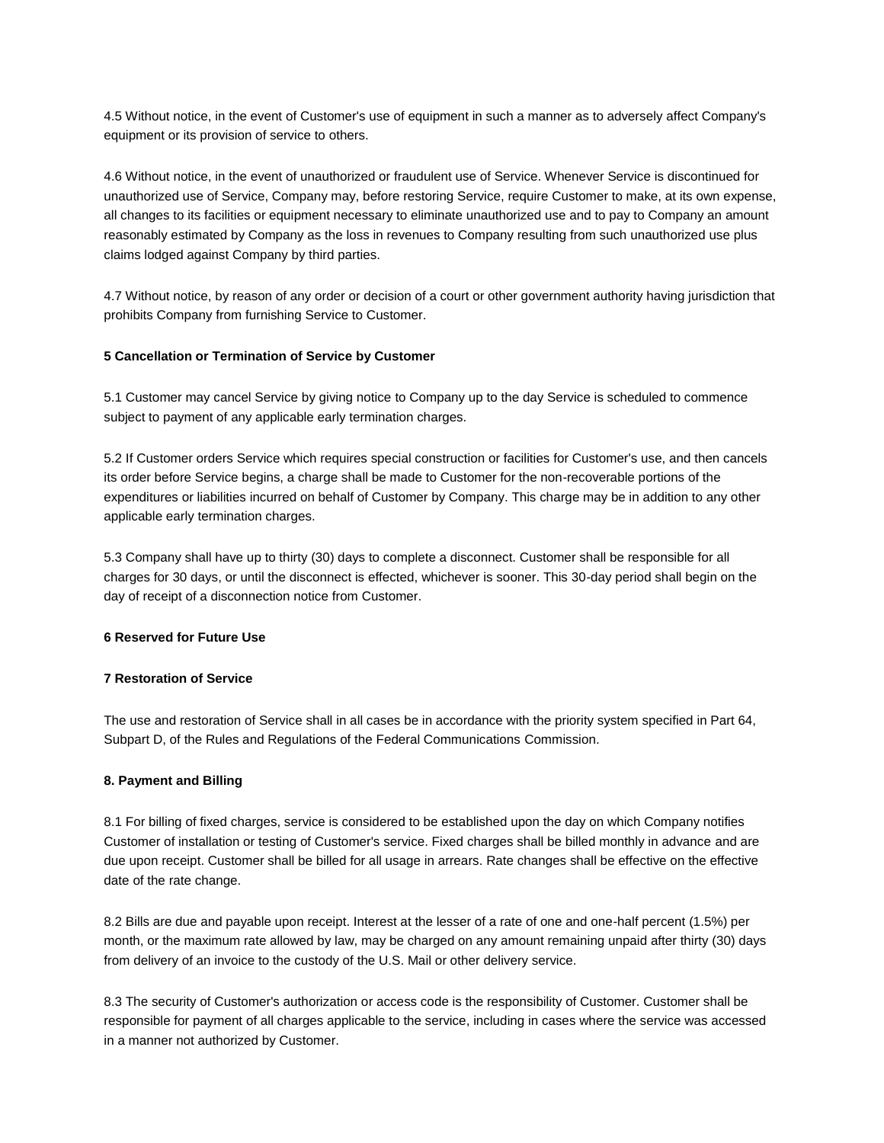4.5 Without notice, in the event of Customer's use of equipment in such a manner as to adversely affect Company's equipment or its provision of service to others.

4.6 Without notice, in the event of unauthorized or fraudulent use of Service. Whenever Service is discontinued for unauthorized use of Service, Company may, before restoring Service, require Customer to make, at its own expense, all changes to its facilities or equipment necessary to eliminate unauthorized use and to pay to Company an amount reasonably estimated by Company as the loss in revenues to Company resulting from such unauthorized use plus claims lodged against Company by third parties.

4.7 Without notice, by reason of any order or decision of a court or other government authority having jurisdiction that prohibits Company from furnishing Service to Customer.

# **5 Cancellation or Termination of Service by Customer**

5.1 Customer may cancel Service by giving notice to Company up to the day Service is scheduled to commence subject to payment of any applicable early termination charges.

5.2 If Customer orders Service which requires special construction or facilities for Customer's use, and then cancels its order before Service begins, a charge shall be made to Customer for the non-recoverable portions of the expenditures or liabilities incurred on behalf of Customer by Company. This charge may be in addition to any other applicable early termination charges.

5.3 Company shall have up to thirty (30) days to complete a disconnect. Customer shall be responsible for all charges for 30 days, or until the disconnect is effected, whichever is sooner. This 30-day period shall begin on the day of receipt of a disconnection notice from Customer.

## **6 Reserved for Future Use**

#### **7 Restoration of Service**

The use and restoration of Service shall in all cases be in accordance with the priority system specified in Part 64, Subpart D, of the Rules and Regulations of the Federal Communications Commission.

#### **8. Payment and Billing**

8.1 For billing of fixed charges, service is considered to be established upon the day on which Company notifies Customer of installation or testing of Customer's service. Fixed charges shall be billed monthly in advance and are due upon receipt. Customer shall be billed for all usage in arrears. Rate changes shall be effective on the effective date of the rate change.

8.2 Bills are due and payable upon receipt. Interest at the lesser of a rate of one and one-half percent (1.5%) per month, or the maximum rate allowed by law, may be charged on any amount remaining unpaid after thirty (30) days from delivery of an invoice to the custody of the U.S. Mail or other delivery service.

8.3 The security of Customer's authorization or access code is the responsibility of Customer. Customer shall be responsible for payment of all charges applicable to the service, including in cases where the service was accessed in a manner not authorized by Customer.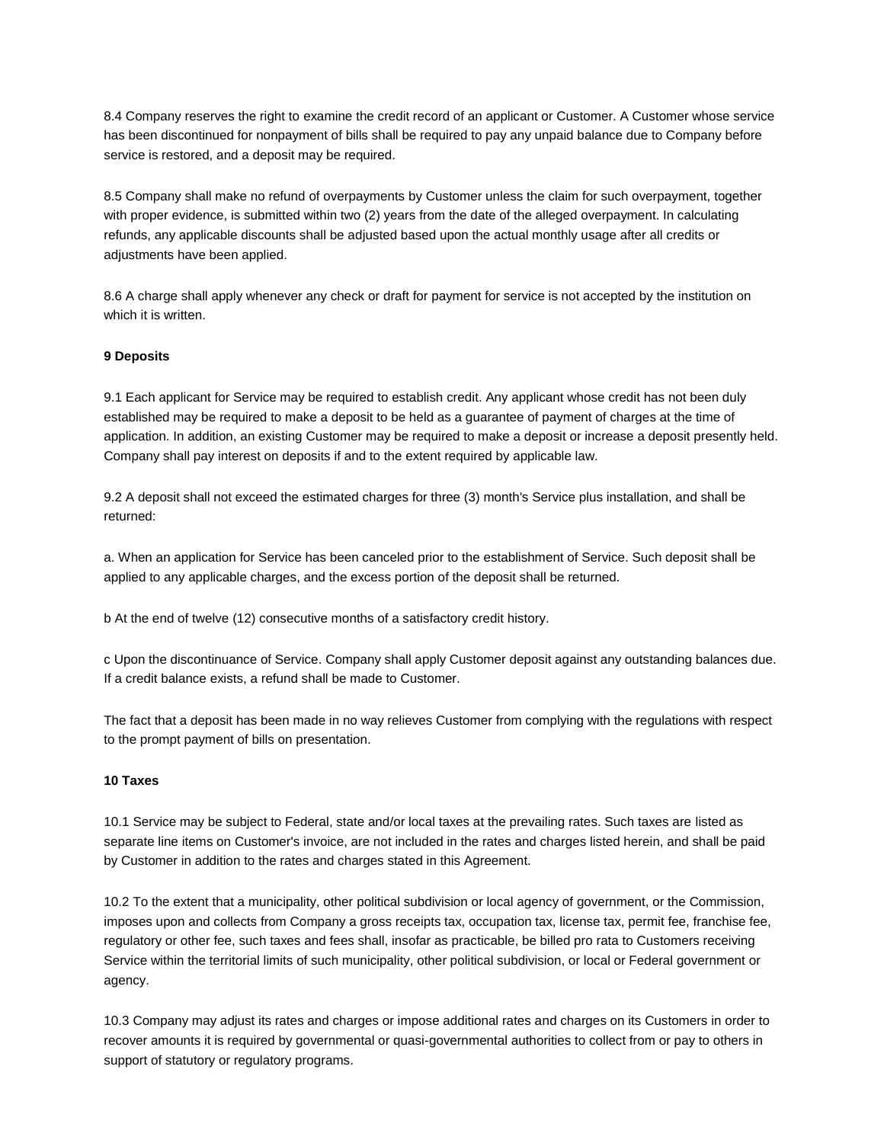8.4 Company reserves the right to examine the credit record of an applicant or Customer. A Customer whose service has been discontinued for nonpayment of bills shall be required to pay any unpaid balance due to Company before service is restored, and a deposit may be required.

8.5 Company shall make no refund of overpayments by Customer unless the claim for such overpayment, together with proper evidence, is submitted within two (2) years from the date of the alleged overpayment. In calculating refunds, any applicable discounts shall be adjusted based upon the actual monthly usage after all credits or adjustments have been applied.

8.6 A charge shall apply whenever any check or draft for payment for service is not accepted by the institution on which it is written.

# **9 Deposits**

9.1 Each applicant for Service may be required to establish credit. Any applicant whose credit has not been duly established may be required to make a deposit to be held as a guarantee of payment of charges at the time of application. In addition, an existing Customer may be required to make a deposit or increase a deposit presently held. Company shall pay interest on deposits if and to the extent required by applicable law.

9.2 A deposit shall not exceed the estimated charges for three (3) month's Service plus installation, and shall be returned:

a. When an application for Service has been canceled prior to the establishment of Service. Such deposit shall be applied to any applicable charges, and the excess portion of the deposit shall be returned.

b At the end of twelve (12) consecutive months of a satisfactory credit history.

c Upon the discontinuance of Service. Company shall apply Customer deposit against any outstanding balances due. If a credit balance exists, a refund shall be made to Customer.

The fact that a deposit has been made in no way relieves Customer from complying with the regulations with respect to the prompt payment of bills on presentation.

#### **10 Taxes**

10.1 Service may be subject to Federal, state and/or local taxes at the prevailing rates. Such taxes are listed as separate line items on Customer's invoice, are not included in the rates and charges listed herein, and shall be paid by Customer in addition to the rates and charges stated in this Agreement.

10.2 To the extent that a municipality, other political subdivision or local agency of government, or the Commission, imposes upon and collects from Company a gross receipts tax, occupation tax, license tax, permit fee, franchise fee, regulatory or other fee, such taxes and fees shall, insofar as practicable, be billed pro rata to Customers receiving Service within the territorial limits of such municipality, other political subdivision, or local or Federal government or agency.

10.3 Company may adjust its rates and charges or impose additional rates and charges on its Customers in order to recover amounts it is required by governmental or quasi-governmental authorities to collect from or pay to others in support of statutory or regulatory programs.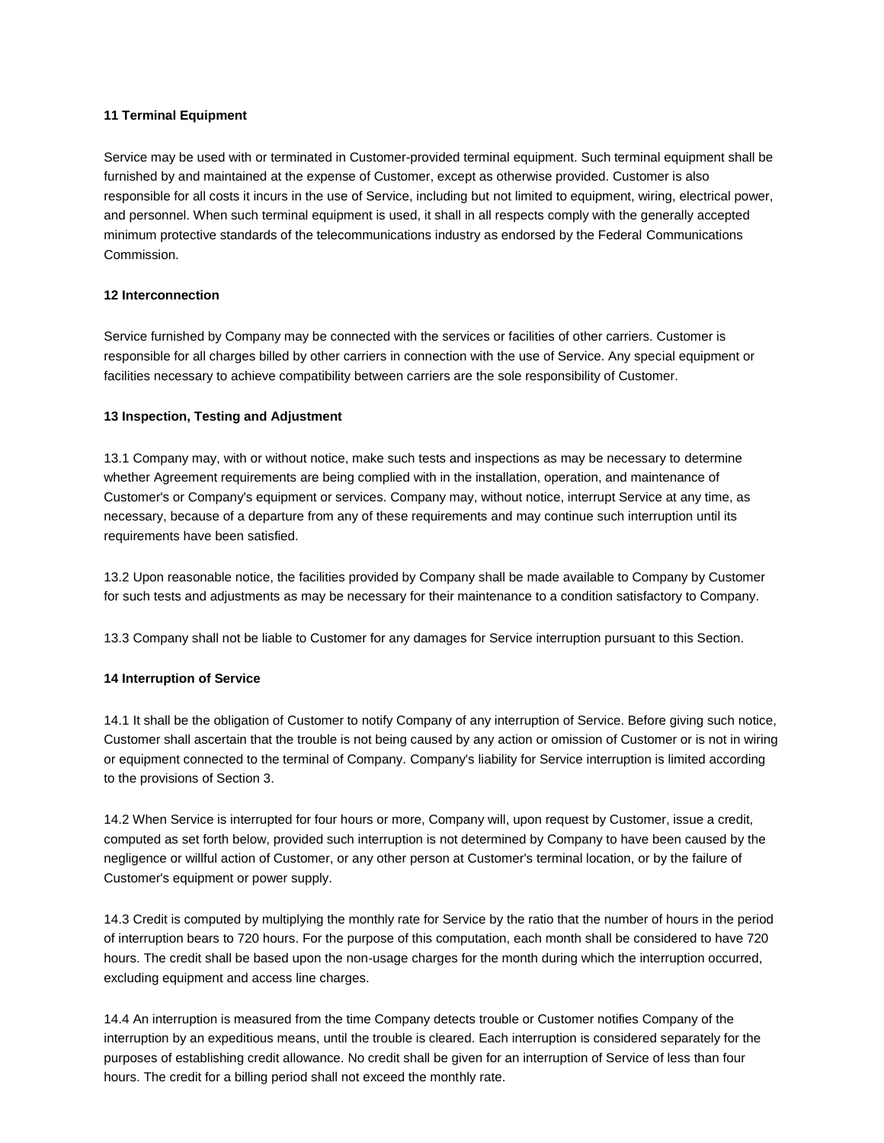## **11 Terminal Equipment**

Service may be used with or terminated in Customer-provided terminal equipment. Such terminal equipment shall be furnished by and maintained at the expense of Customer, except as otherwise provided. Customer is also responsible for all costs it incurs in the use of Service, including but not limited to equipment, wiring, electrical power, and personnel. When such terminal equipment is used, it shall in all respects comply with the generally accepted minimum protective standards of the telecommunications industry as endorsed by the Federal Communications Commission.

# **12 Interconnection**

Service furnished by Company may be connected with the services or facilities of other carriers. Customer is responsible for all charges billed by other carriers in connection with the use of Service. Any special equipment or facilities necessary to achieve compatibility between carriers are the sole responsibility of Customer.

# **13 Inspection, Testing and Adjustment**

13.1 Company may, with or without notice, make such tests and inspections as may be necessary to determine whether Agreement requirements are being complied with in the installation, operation, and maintenance of Customer's or Company's equipment or services. Company may, without notice, interrupt Service at any time, as necessary, because of a departure from any of these requirements and may continue such interruption until its requirements have been satisfied.

13.2 Upon reasonable notice, the facilities provided by Company shall be made available to Company by Customer for such tests and adjustments as may be necessary for their maintenance to a condition satisfactory to Company.

13.3 Company shall not be liable to Customer for any damages for Service interruption pursuant to this Section.

## **14 Interruption of Service**

14.1 It shall be the obligation of Customer to notify Company of any interruption of Service. Before giving such notice, Customer shall ascertain that the trouble is not being caused by any action or omission of Customer or is not in wiring or equipment connected to the terminal of Company. Company's liability for Service interruption is limited according to the provisions of Section 3.

14.2 When Service is interrupted for four hours or more, Company will, upon request by Customer, issue a credit, computed as set forth below, provided such interruption is not determined by Company to have been caused by the negligence or willful action of Customer, or any other person at Customer's terminal location, or by the failure of Customer's equipment or power supply.

14.3 Credit is computed by multiplying the monthly rate for Service by the ratio that the number of hours in the period of interruption bears to 720 hours. For the purpose of this computation, each month shall be considered to have 720 hours. The credit shall be based upon the non-usage charges for the month during which the interruption occurred, excluding equipment and access line charges.

14.4 An interruption is measured from the time Company detects trouble or Customer notifies Company of the interruption by an expeditious means, until the trouble is cleared. Each interruption is considered separately for the purposes of establishing credit allowance. No credit shall be given for an interruption of Service of less than four hours. The credit for a billing period shall not exceed the monthly rate.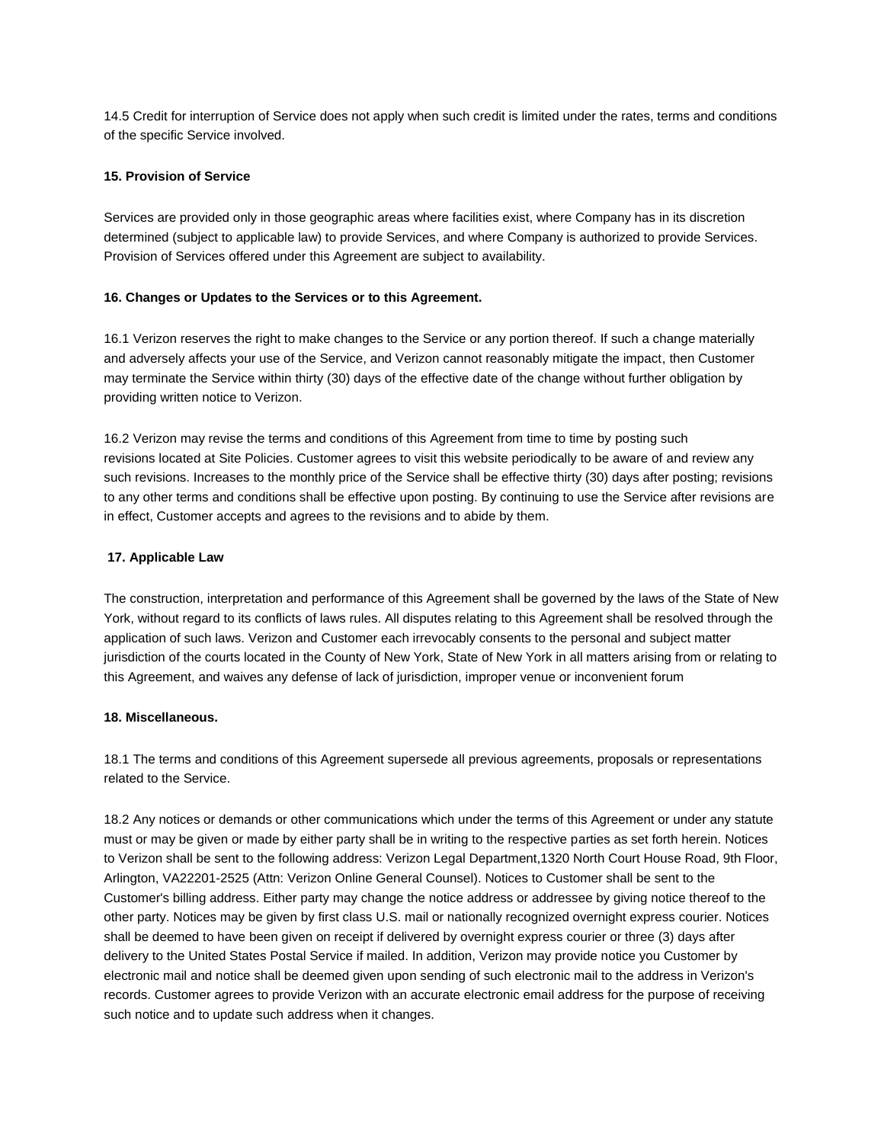14.5 Credit for interruption of Service does not apply when such credit is limited under the rates, terms and conditions of the specific Service involved.

# **15. Provision of Service**

Services are provided only in those geographic areas where facilities exist, where Company has in its discretion determined (subject to applicable law) to provide Services, and where Company is authorized to provide Services. Provision of Services offered under this Agreement are subject to availability.

#### **16. Changes or Updates to the Services or to this Agreement.**

16.1 Verizon reserves the right to make changes to the Service or any portion thereof. If such a change materially and adversely affects your use of the Service, and Verizon cannot reasonably mitigate the impact, then Customer may terminate the Service within thirty (30) days of the effective date of the change without further obligation by providing written notice to Verizon.

16.2 Verizon may revise the terms and conditions of this Agreement from time to time by posting such revisions located a[t Site Policies.](http://business.verizon.net/SMBPortalWeb/appmanager/SMBPortal/smb?_nfpb=true&_pageLabel=SMBPortal_page_pol_main) Customer agrees to visit this website periodically to be aware of and review any such revisions. Increases to the monthly price of the Service shall be effective thirty (30) days after posting; revisions to any other terms and conditions shall be effective upon posting. By continuing to use the Service after revisions are in effect, Customer accepts and agrees to the revisions and to abide by them.

## **17. Applicable Law**

The construction, interpretation and performance of this Agreement shall be governed by the laws of the State of New York, without regard to its conflicts of laws rules. All disputes relating to this Agreement shall be resolved through the application of such laws. Verizon and Customer each irrevocably consents to the personal and subject matter jurisdiction of the courts located in the County of New York, State of New York in all matters arising from or relating to this Agreement, and waives any defense of lack of jurisdiction, improper venue or inconvenient forum

## **18. Miscellaneous.**

18.1 The terms and conditions of this Agreement supersede all previous agreements, proposals or representations related to the Service.

18.2 Any notices or demands or other communications which under the terms of this Agreement or under any statute must or may be given or made by either party shall be in writing to the respective parties as set forth herein. Notices to Verizon shall be sent to the following address: Verizon Legal Department,1320 North Court House Road, 9th Floor, Arlington, VA22201-2525 (Attn: Verizon Online General Counsel). Notices to Customer shall be sent to the Customer's billing address. Either party may change the notice address or addressee by giving notice thereof to the other party. Notices may be given by first class U.S. mail or nationally recognized overnight express courier. Notices shall be deemed to have been given on receipt if delivered by overnight express courier or three (3) days after delivery to the United States Postal Service if mailed. In addition, Verizon may provide notice you Customer by electronic mail and notice shall be deemed given upon sending of such electronic mail to the address in Verizon's records. Customer agrees to provide Verizon with an accurate electronic email address for the purpose of receiving such notice and to update such address when it changes.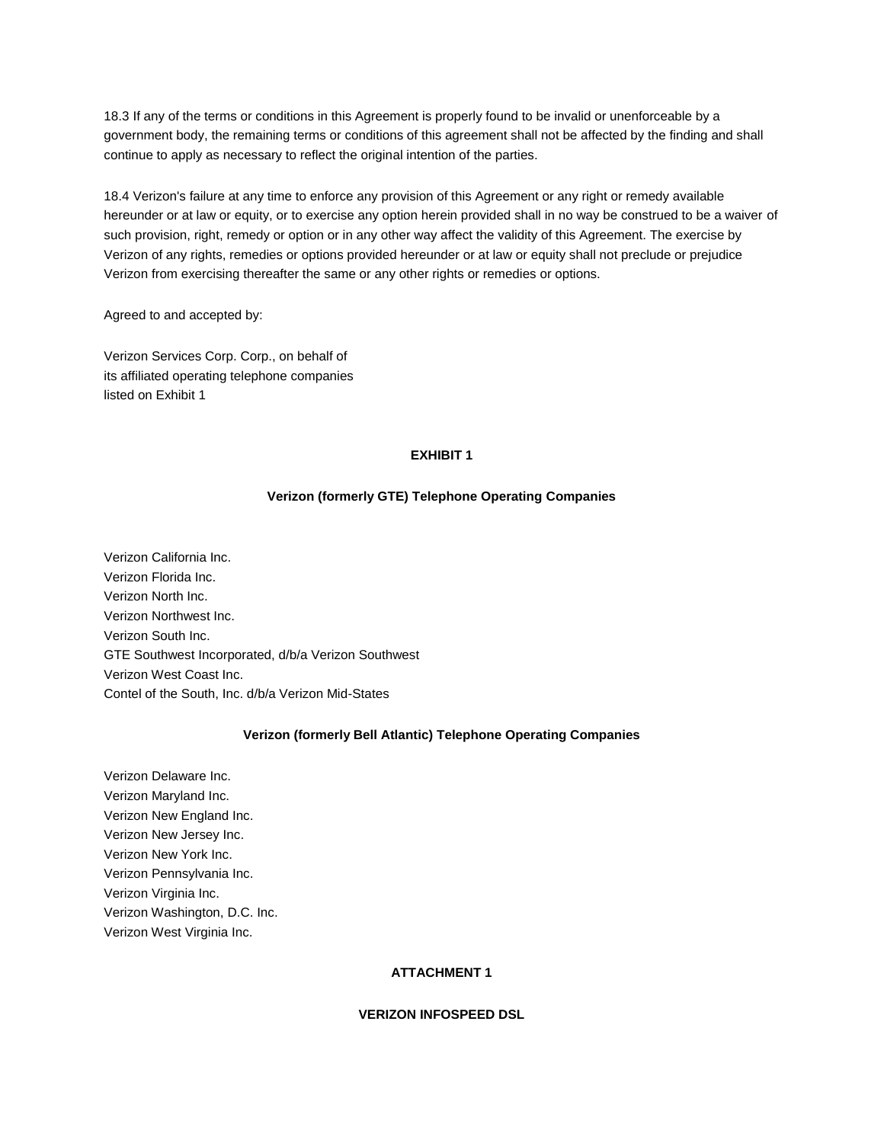18.3 If any of the terms or conditions in this Agreement is properly found to be invalid or unenforceable by a government body, the remaining terms or conditions of this agreement shall not be affected by the finding and shall continue to apply as necessary to reflect the original intention of the parties.

18.4 Verizon's failure at any time to enforce any provision of this Agreement or any right or remedy available hereunder or at law or equity, or to exercise any option herein provided shall in no way be construed to be a waiver of such provision, right, remedy or option or in any other way affect the validity of this Agreement. The exercise by Verizon of any rights, remedies or options provided hereunder or at law or equity shall not preclude or prejudice Verizon from exercising thereafter the same or any other rights or remedies or options.

Agreed to and accepted by:

Verizon Services Corp. Corp., on behalf of its affiliated operating telephone companies listed on Exhibit 1

#### **EXHIBIT 1**

## **Verizon (formerly GTE) Telephone Operating Companies**

Verizon California Inc. Verizon Florida Inc. Verizon North Inc. Verizon Northwest Inc. Verizon South Inc. GTE Southwest Incorporated, d/b/a Verizon Southwest Verizon West Coast Inc. Contel of the South, Inc. d/b/a Verizon Mid-States

## **Verizon (formerly Bell Atlantic) Telephone Operating Companies**

Verizon Delaware Inc. Verizon Maryland Inc. Verizon New England Inc. Verizon New Jersey Inc. Verizon New York Inc. Verizon Pennsylvania Inc. Verizon Virginia Inc. Verizon Washington, D.C. Inc. Verizon West Virginia Inc.

## **ATTACHMENT 1**

#### **VERIZON INFOSPEED DSL**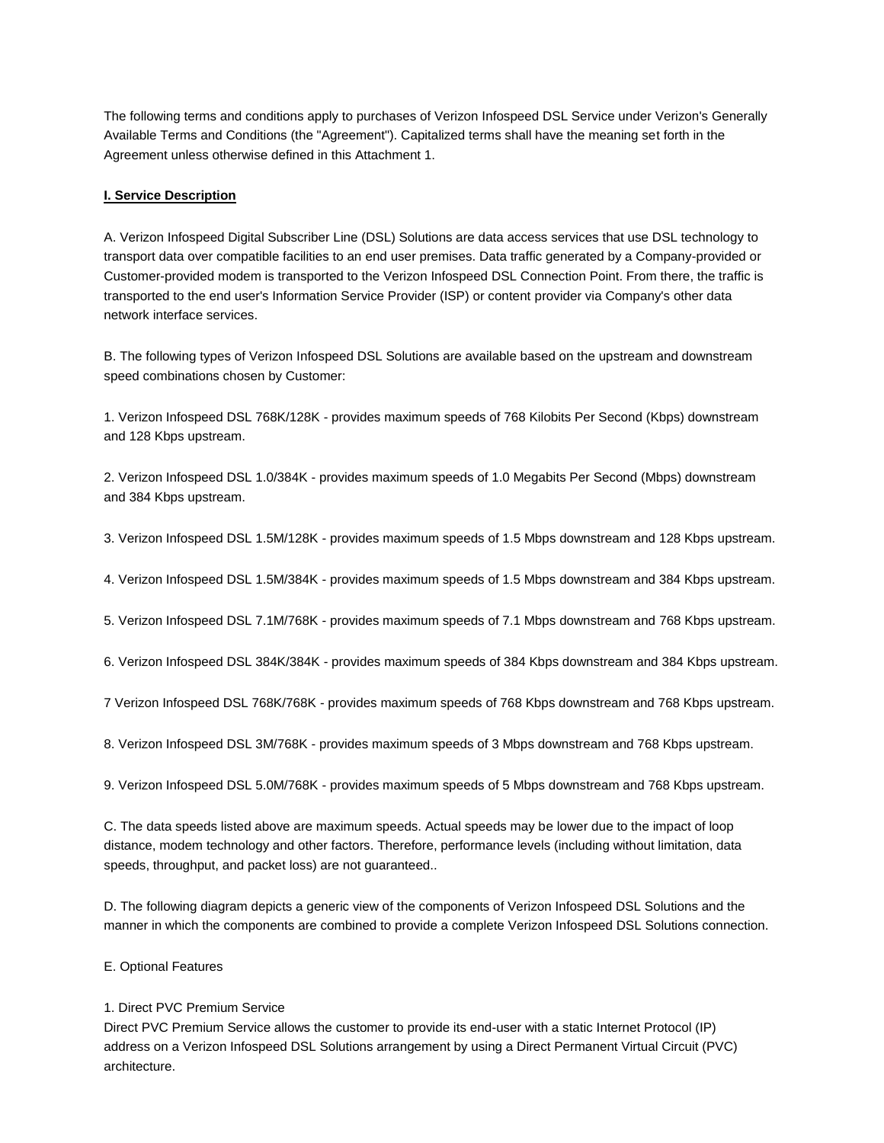The following terms and conditions apply to purchases of Verizon Infospeed DSL Service under Verizon's Generally Available Terms and Conditions (the "Agreement"). Capitalized terms shall have the meaning set forth in the Agreement unless otherwise defined in this Attachment 1.

## **I. Service Description**

A. Verizon Infospeed Digital Subscriber Line (DSL) Solutions are data access services that use DSL technology to transport data over compatible facilities to an end user premises. Data traffic generated by a Company-provided or Customer-provided modem is transported to the Verizon Infospeed DSL Connection Point. From there, the traffic is transported to the end user's Information Service Provider (ISP) or content provider via Company's other data network interface services.

B. The following types of Verizon Infospeed DSL Solutions are available based on the upstream and downstream speed combinations chosen by Customer:

1. Verizon Infospeed DSL 768K/128K - provides maximum speeds of 768 Kilobits Per Second (Kbps) downstream and 128 Kbps upstream.

2. Verizon Infospeed DSL 1.0/384K - provides maximum speeds of 1.0 Megabits Per Second (Mbps) downstream and 384 Kbps upstream.

3. Verizon Infospeed DSL 1.5M/128K - provides maximum speeds of 1.5 Mbps downstream and 128 Kbps upstream.

4. Verizon Infospeed DSL 1.5M/384K - provides maximum speeds of 1.5 Mbps downstream and 384 Kbps upstream.

5. Verizon Infospeed DSL 7.1M/768K - provides maximum speeds of 7.1 Mbps downstream and 768 Kbps upstream.

6. Verizon Infospeed DSL 384K/384K - provides maximum speeds of 384 Kbps downstream and 384 Kbps upstream.

7 Verizon Infospeed DSL 768K/768K - provides maximum speeds of 768 Kbps downstream and 768 Kbps upstream.

8. Verizon Infospeed DSL 3M/768K - provides maximum speeds of 3 Mbps downstream and 768 Kbps upstream.

9. Verizon Infospeed DSL 5.0M/768K - provides maximum speeds of 5 Mbps downstream and 768 Kbps upstream.

C. The data speeds listed above are maximum speeds. Actual speeds may be lower due to the impact of loop distance, modem technology and other factors. Therefore, performance levels (including without limitation, data speeds, throughput, and packet loss) are not guaranteed..

D. The following diagram depicts a generic view of the components of Verizon Infospeed DSL Solutions and the manner in which the components are combined to provide a complete Verizon Infospeed DSL Solutions connection.

E. Optional Features

# 1. Direct PVC Premium Service

Direct PVC Premium Service allows the customer to provide its end-user with a static Internet Protocol (IP) address on a Verizon Infospeed DSL Solutions arrangement by using a Direct Permanent Virtual Circuit (PVC) architecture.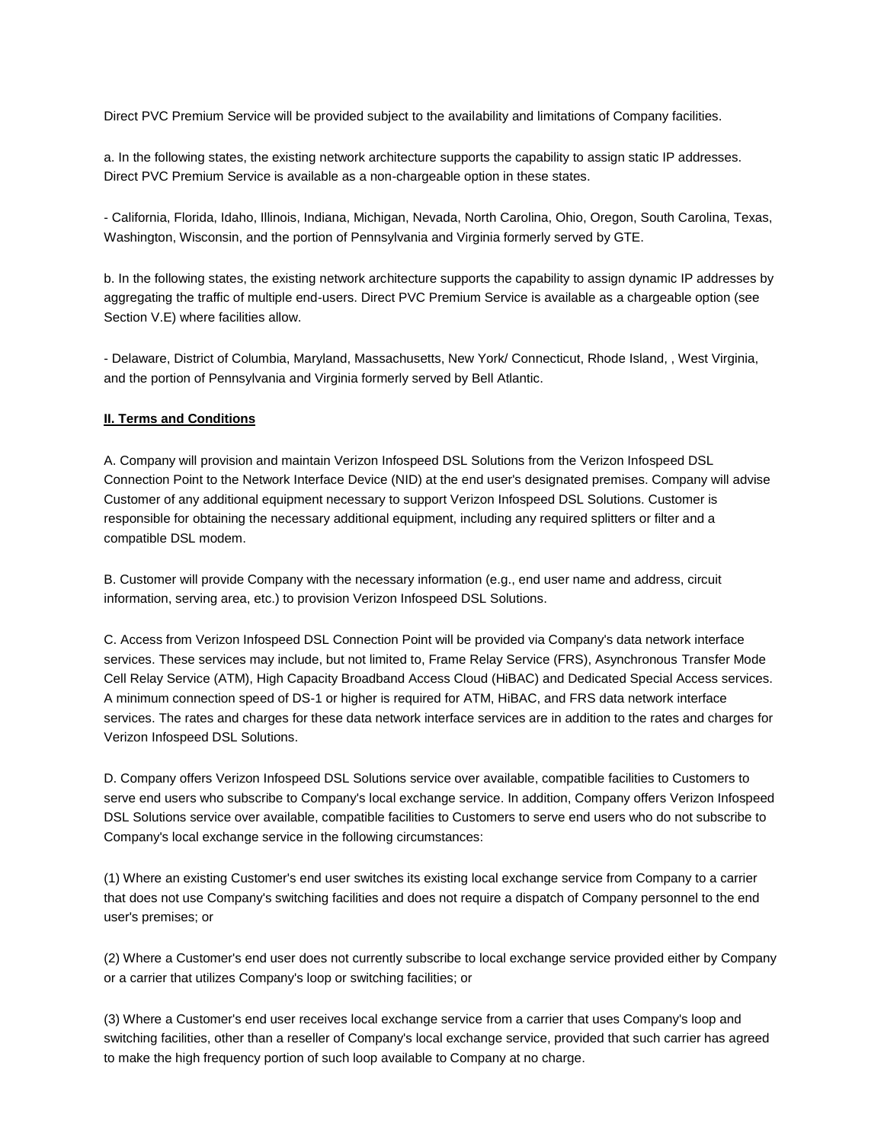Direct PVC Premium Service will be provided subject to the availability and limitations of Company facilities.

a. In the following states, the existing network architecture supports the capability to assign static IP addresses. Direct PVC Premium Service is available as a non-chargeable option in these states.

- California, Florida, Idaho, Illinois, Indiana, Michigan, Nevada, North Carolina, Ohio, Oregon, South Carolina, Texas, Washington, Wisconsin, and the portion of Pennsylvania and Virginia formerly served by GTE.

b. In the following states, the existing network architecture supports the capability to assign dynamic IP addresses by aggregating the traffic of multiple end-users. Direct PVC Premium Service is available as a chargeable option (see Section V.E) where facilities allow.

- Delaware, District of Columbia, Maryland, Massachusetts, New York/ Connecticut, Rhode Island, , West Virginia, and the portion of Pennsylvania and Virginia formerly served by Bell Atlantic.

#### **II. Terms and Conditions**

A. Company will provision and maintain Verizon Infospeed DSL Solutions from the Verizon Infospeed DSL Connection Point to the Network Interface Device (NID) at the end user's designated premises. Company will advise Customer of any additional equipment necessary to support Verizon Infospeed DSL Solutions. Customer is responsible for obtaining the necessary additional equipment, including any required splitters or filter and a compatible DSL modem.

B. Customer will provide Company with the necessary information (e.g., end user name and address, circuit information, serving area, etc.) to provision Verizon Infospeed DSL Solutions.

C. Access from Verizon Infospeed DSL Connection Point will be provided via Company's data network interface services. These services may include, but not limited to, Frame Relay Service (FRS), Asynchronous Transfer Mode Cell Relay Service (ATM), High Capacity Broadband Access Cloud (HiBAC) and Dedicated Special Access services. A minimum connection speed of DS-1 or higher is required for ATM, HiBAC, and FRS data network interface services. The rates and charges for these data network interface services are in addition to the rates and charges for Verizon Infospeed DSL Solutions.

D. Company offers Verizon Infospeed DSL Solutions service over available, compatible facilities to Customers to serve end users who subscribe to Company's local exchange service. In addition, Company offers Verizon Infospeed DSL Solutions service over available, compatible facilities to Customers to serve end users who do not subscribe to Company's local exchange service in the following circumstances:

(1) Where an existing Customer's end user switches its existing local exchange service from Company to a carrier that does not use Company's switching facilities and does not require a dispatch of Company personnel to the end user's premises; or

(2) Where a Customer's end user does not currently subscribe to local exchange service provided either by Company or a carrier that utilizes Company's loop or switching facilities; or

(3) Where a Customer's end user receives local exchange service from a carrier that uses Company's loop and switching facilities, other than a reseller of Company's local exchange service, provided that such carrier has agreed to make the high frequency portion of such loop available to Company at no charge.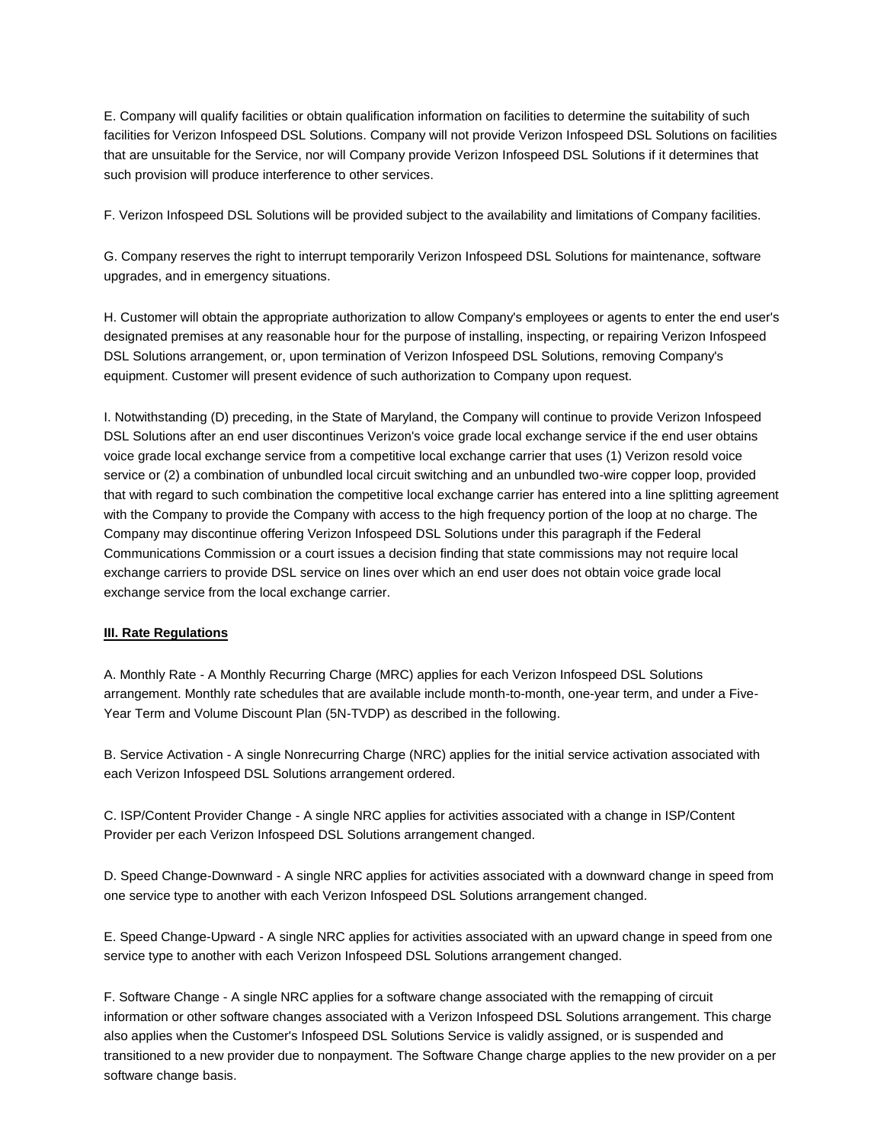E. Company will qualify facilities or obtain qualification information on facilities to determine the suitability of such facilities for Verizon Infospeed DSL Solutions. Company will not provide Verizon Infospeed DSL Solutions on facilities that are unsuitable for the Service, nor will Company provide Verizon Infospeed DSL Solutions if it determines that such provision will produce interference to other services.

F. Verizon Infospeed DSL Solutions will be provided subject to the availability and limitations of Company facilities.

G. Company reserves the right to interrupt temporarily Verizon Infospeed DSL Solutions for maintenance, software upgrades, and in emergency situations.

H. Customer will obtain the appropriate authorization to allow Company's employees or agents to enter the end user's designated premises at any reasonable hour for the purpose of installing, inspecting, or repairing Verizon Infospeed DSL Solutions arrangement, or, upon termination of Verizon Infospeed DSL Solutions, removing Company's equipment. Customer will present evidence of such authorization to Company upon request.

I. Notwithstanding (D) preceding, in the State of Maryland, the Company will continue to provide Verizon Infospeed DSL Solutions after an end user discontinues Verizon's voice grade local exchange service if the end user obtains voice grade local exchange service from a competitive local exchange carrier that uses (1) Verizon resold voice service or (2) a combination of unbundled local circuit switching and an unbundled two-wire copper loop, provided that with regard to such combination the competitive local exchange carrier has entered into a line splitting agreement with the Company to provide the Company with access to the high frequency portion of the loop at no charge. The Company may discontinue offering Verizon Infospeed DSL Solutions under this paragraph if the Federal Communications Commission or a court issues a decision finding that state commissions may not require local exchange carriers to provide DSL service on lines over which an end user does not obtain voice grade local exchange service from the local exchange carrier.

## **III. Rate Regulations**

A. Monthly Rate - A Monthly Recurring Charge (MRC) applies for each Verizon Infospeed DSL Solutions arrangement. Monthly rate schedules that are available include month-to-month, one-year term, and under a Five-Year Term and Volume Discount Plan (5N-TVDP) as described in the following.

B. Service Activation - A single Nonrecurring Charge (NRC) applies for the initial service activation associated with each Verizon Infospeed DSL Solutions arrangement ordered.

C. ISP/Content Provider Change - A single NRC applies for activities associated with a change in ISP/Content Provider per each Verizon Infospeed DSL Solutions arrangement changed.

D. Speed Change-Downward - A single NRC applies for activities associated with a downward change in speed from one service type to another with each Verizon Infospeed DSL Solutions arrangement changed.

E. Speed Change-Upward - A single NRC applies for activities associated with an upward change in speed from one service type to another with each Verizon Infospeed DSL Solutions arrangement changed.

F. Software Change - A single NRC applies for a software change associated with the remapping of circuit information or other software changes associated with a Verizon Infospeed DSL Solutions arrangement. This charge also applies when the Customer's Infospeed DSL Solutions Service is validly assigned, or is suspended and transitioned to a new provider due to nonpayment. The Software Change charge applies to the new provider on a per software change basis.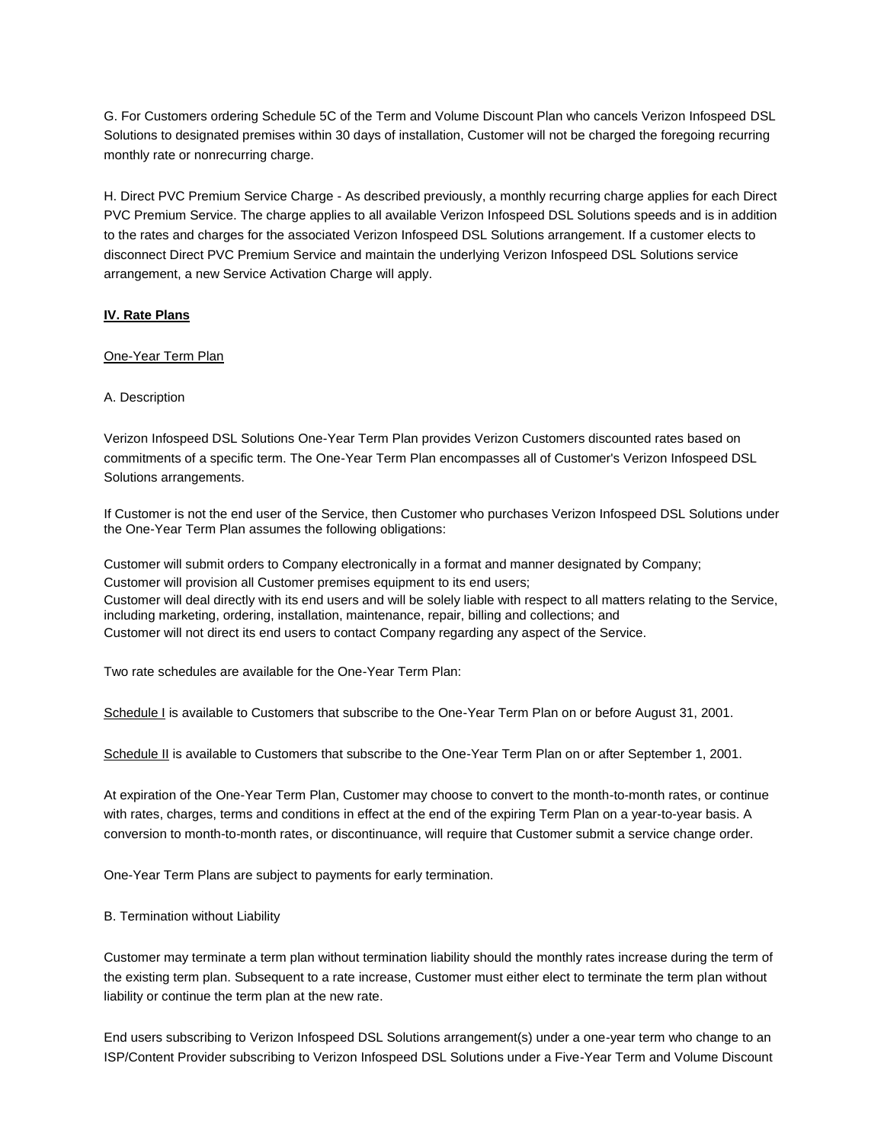G. For Customers ordering Schedule 5C of the Term and Volume Discount Plan who cancels Verizon Infospeed DSL Solutions to designated premises within 30 days of installation, Customer will not be charged the foregoing recurring monthly rate or nonrecurring charge.

H. Direct PVC Premium Service Charge - As described previously, a monthly recurring charge applies for each Direct PVC Premium Service. The charge applies to all available Verizon Infospeed DSL Solutions speeds and is in addition to the rates and charges for the associated Verizon Infospeed DSL Solutions arrangement. If a customer elects to disconnect Direct PVC Premium Service and maintain the underlying Verizon Infospeed DSL Solutions service arrangement, a new Service Activation Charge will apply.

#### **IV. Rate Plans**

#### One-Year Term Plan

#### A. Description

Verizon Infospeed DSL Solutions One-Year Term Plan provides Verizon Customers discounted rates based on commitments of a specific term. The One-Year Term Plan encompasses all of Customer's Verizon Infospeed DSL Solutions arrangements.

If Customer is not the end user of the Service, then Customer who purchases Verizon Infospeed DSL Solutions under the One-Year Term Plan assumes the following obligations:

Customer will submit orders to Company electronically in a format and manner designated by Company; Customer will provision all Customer premises equipment to its end users; Customer will deal directly with its end users and will be solely liable with respect to all matters relating to the Service, including marketing, ordering, installation, maintenance, repair, billing and collections; and Customer will not direct its end users to contact Company regarding any aspect of the Service.

Two rate schedules are available for the One-Year Term Plan:

Schedule I is available to Customers that subscribe to the One-Year Term Plan on or before August 31, 2001.

Schedule II is available to Customers that subscribe to the One-Year Term Plan on or after September 1, 2001.

At expiration of the One-Year Term Plan, Customer may choose to convert to the month-to-month rates, or continue with rates, charges, terms and conditions in effect at the end of the expiring Term Plan on a year-to-year basis. A conversion to month-to-month rates, or discontinuance, will require that Customer submit a service change order.

One-Year Term Plans are subject to payments for early termination.

B. Termination without Liability

Customer may terminate a term plan without termination liability should the monthly rates increase during the term of the existing term plan. Subsequent to a rate increase, Customer must either elect to terminate the term plan without liability or continue the term plan at the new rate.

End users subscribing to Verizon Infospeed DSL Solutions arrangement(s) under a one-year term who change to an ISP/Content Provider subscribing to Verizon Infospeed DSL Solutions under a Five-Year Term and Volume Discount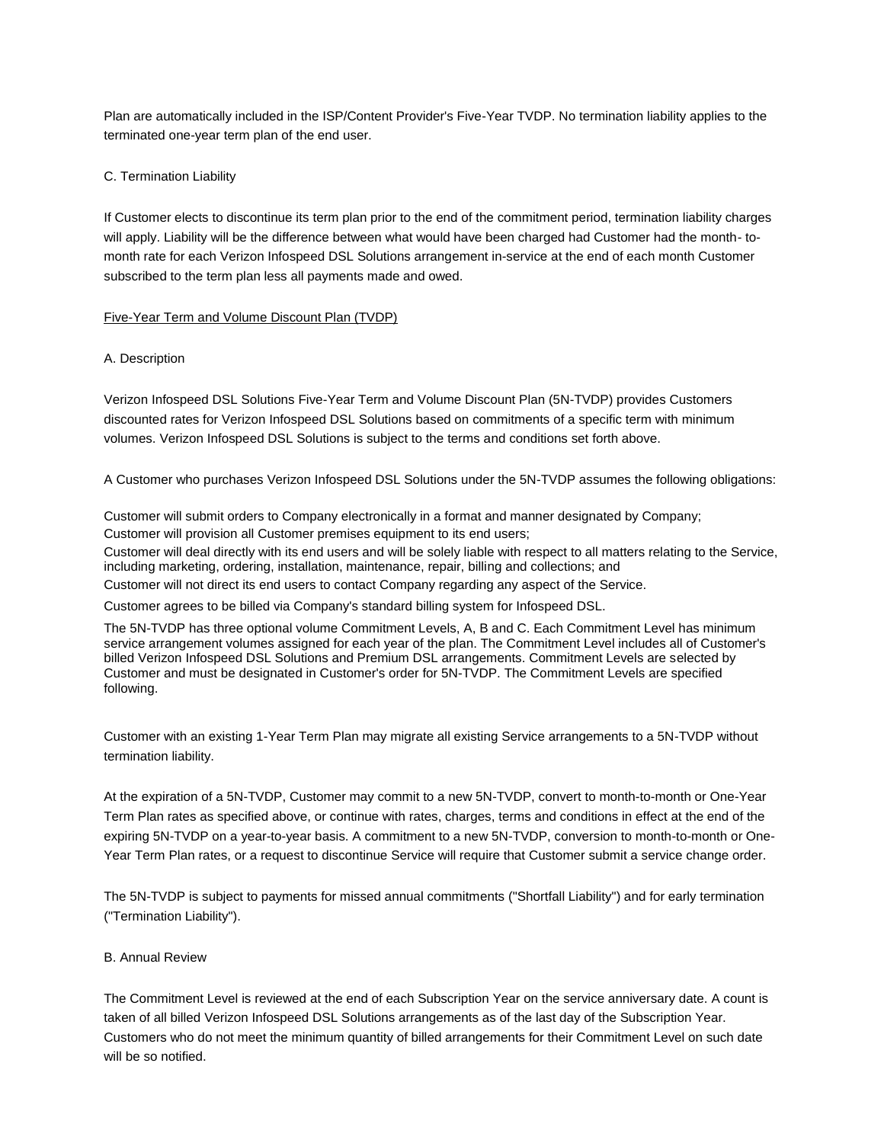Plan are automatically included in the ISP/Content Provider's Five-Year TVDP. No termination liability applies to the terminated one-year term plan of the end user.

#### C. Termination Liability

If Customer elects to discontinue its term plan prior to the end of the commitment period, termination liability charges will apply. Liability will be the difference between what would have been charged had Customer had the month- tomonth rate for each Verizon Infospeed DSL Solutions arrangement in-service at the end of each month Customer subscribed to the term plan less all payments made and owed.

#### Five-Year Term and Volume Discount Plan (TVDP)

#### A. Description

Verizon Infospeed DSL Solutions Five-Year Term and Volume Discount Plan (5N-TVDP) provides Customers discounted rates for Verizon Infospeed DSL Solutions based on commitments of a specific term with minimum volumes. Verizon Infospeed DSL Solutions is subject to the terms and conditions set forth above.

A Customer who purchases Verizon Infospeed DSL Solutions under the 5N-TVDP assumes the following obligations:

Customer will submit orders to Company electronically in a format and manner designated by Company; Customer will provision all Customer premises equipment to its end users; Customer will deal directly with its end users and will be solely liable with respect to all matters relating to the Service, including marketing, ordering, installation, maintenance, repair, billing and collections; and

Customer will not direct its end users to contact Company regarding any aspect of the Service.

Customer agrees to be billed via Company's standard billing system for Infospeed DSL.

The 5N-TVDP has three optional volume Commitment Levels, A, B and C. Each Commitment Level has minimum service arrangement volumes assigned for each year of the plan. The Commitment Level includes all of Customer's billed Verizon Infospeed DSL Solutions and Premium DSL arrangements. Commitment Levels are selected by Customer and must be designated in Customer's order for 5N-TVDP. The Commitment Levels are specified following.

Customer with an existing 1-Year Term Plan may migrate all existing Service arrangements to a 5N-TVDP without termination liability.

At the expiration of a 5N-TVDP, Customer may commit to a new 5N-TVDP, convert to month-to-month or One-Year Term Plan rates as specified above, or continue with rates, charges, terms and conditions in effect at the end of the expiring 5N-TVDP on a year-to-year basis. A commitment to a new 5N-TVDP, conversion to month-to-month or One-Year Term Plan rates, or a request to discontinue Service will require that Customer submit a service change order.

The 5N-TVDP is subject to payments for missed annual commitments ("Shortfall Liability") and for early termination ("Termination Liability").

#### B. Annual Review

The Commitment Level is reviewed at the end of each Subscription Year on the service anniversary date. A count is taken of all billed Verizon Infospeed DSL Solutions arrangements as of the last day of the Subscription Year. Customers who do not meet the minimum quantity of billed arrangements for their Commitment Level on such date will be so notified.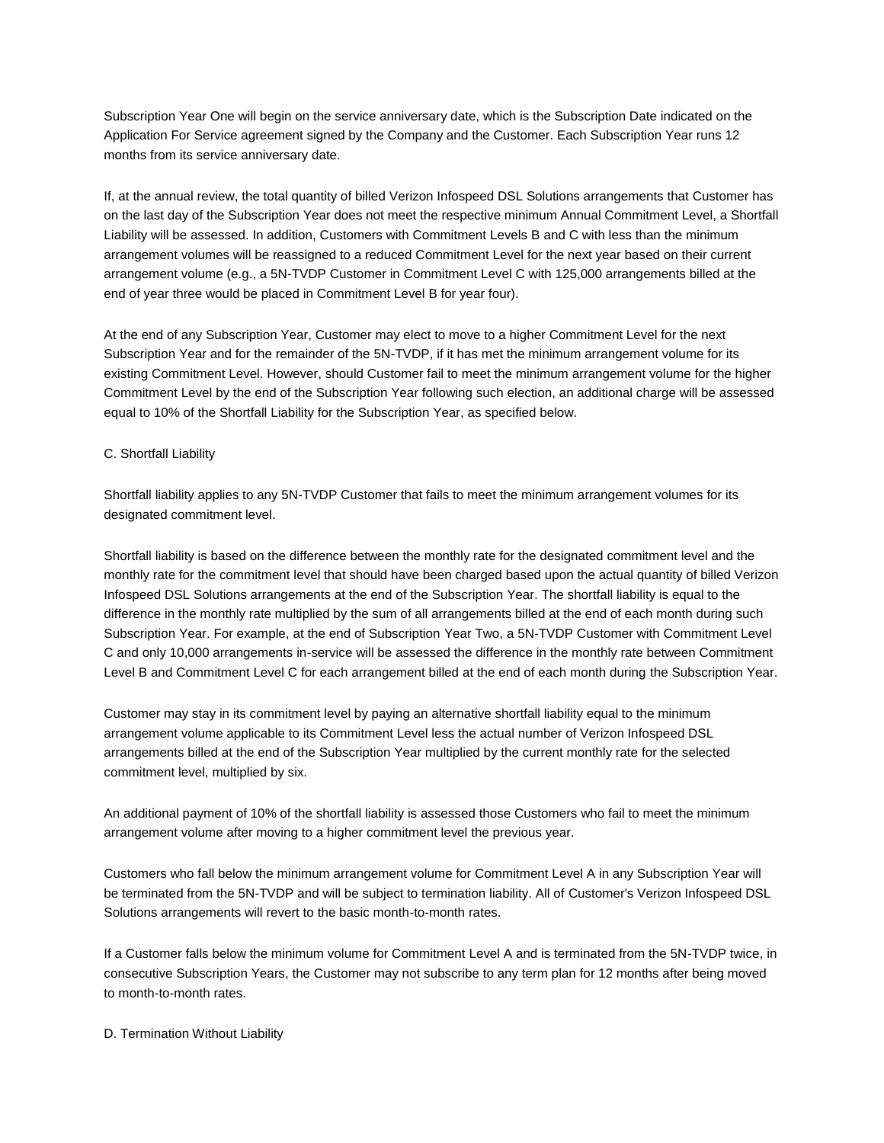Subscription Year One will begin on the service anniversary date, which is the Subscription Date indicated on the Application For Service agreement signed by the Company and the Customer. Each Subscription Year runs 12 months from its service anniversary date.

If, at the annual review, the total quantity of billed Verizon Infospeed DSL Solutions arrangements that Customer has on the last day of the Subscription Year does not meet the respective minimum Annual Commitment Level, a Shortfall Liability will be assessed. In addition, Customers with Commitment Levels B and C with less than the minimum arrangement volumes will be reassigned to a reduced Commitment Level for the next year based on their current arrangement volume (e.g., a 5N-TVDP Customer in Commitment Level C with 125,000 arrangements billed at the end of year three would be placed in Commitment Level B for year four).

At the end of any Subscription Year, Customer may elect to move to a higher Commitment Level for the next Subscription Year and for the remainder of the 5N-TVDP, if it has met the minimum arrangement volume for its existing Commitment Level. However, should Customer fail to meet the minimum arrangement volume for the higher Commitment Level by the end of the Subscription Year following such election, an additional charge will be assessed equal to 10% of the Shortfall Liability for the Subscription Year, as specified below.

## C. Shortfall Liability

Shortfall liability applies to any 5N-TVDP Customer that fails to meet the minimum arrangement volumes for its designated commitment level.

Shortfall liability is based on the difference between the monthly rate for the designated commitment level and the monthly rate for the commitment level that should have been charged based upon the actual quantity of billed Verizon Infospeed DSL Solutions arrangements at the end of the Subscription Year. The shortfall liability is equal to the difference in the monthly rate multiplied by the sum of all arrangements billed at the end of each month during such Subscription Year. For example, at the end of Subscription Year Two, a 5N-TVDP Customer with Commitment Level C and only 10,000 arrangements in-service will be assessed the difference in the monthly rate between Commitment Level B and Commitment Level C for each arrangement billed at the end of each month during the Subscription Year.

Customer may stay in its commitment level by paying an alternative shortfall liability equal to the minimum arrangement volume applicable to its Commitment Level less the actual number of Verizon Infospeed DSL arrangements billed at the end of the Subscription Year multiplied by the current monthly rate for the selected commitment level, multiplied by six.

An additional payment of 10% of the shortfall liability is assessed those Customers who fail to meet the minimum arrangement volume after moving to a higher commitment level the previous year.

Customers who fall below the minimum arrangement volume for Commitment Level A in any Subscription Year will be terminated from the 5N-TVDP and will be subject to termination liability. All of Customer's Verizon Infospeed DSL Solutions arrangements will revert to the basic month-to-month rates.

If a Customer falls below the minimum volume for Commitment Level A and is terminated from the 5N-TVDP twice, in consecutive Subscription Years, the Customer may not subscribe to any term plan for 12 months after being moved to month-to-month rates.

D. Termination Without Liability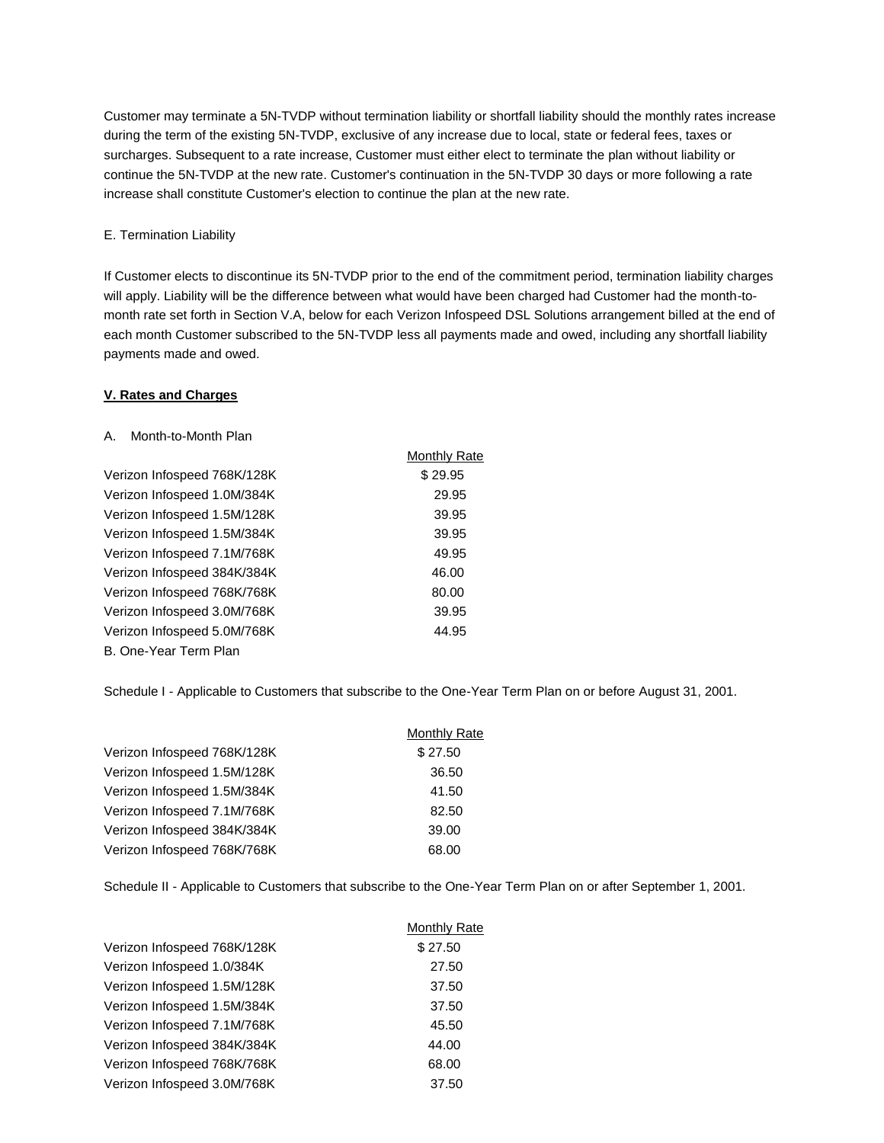Customer may terminate a 5N-TVDP without termination liability or shortfall liability should the monthly rates increase during the term of the existing 5N-TVDP, exclusive of any increase due to local, state or federal fees, taxes or surcharges. Subsequent to a rate increase, Customer must either elect to terminate the plan without liability or continue the 5N-TVDP at the new rate. Customer's continuation in the 5N-TVDP 30 days or more following a rate increase shall constitute Customer's election to continue the plan at the new rate.

#### E. Termination Liability

If Customer elects to discontinue its 5N-TVDP prior to the end of the commitment period, termination liability charges will apply. Liability will be the difference between what would have been charged had Customer had the month-tomonth rate set forth in Section V.A, below for each Verizon Infospeed DSL Solutions arrangement billed at the end of each month Customer subscribed to the 5N-TVDP less all payments made and owed, including any shortfall liability payments made and owed.

#### **V. Rates and Charges**

#### A. Month-to-Month Plan

|                             | <b>Monthly Rate</b> |
|-----------------------------|---------------------|
| Verizon Infospeed 768K/128K | \$29.95             |
| Verizon Infospeed 1.0M/384K | 29.95               |
| Verizon Infospeed 1.5M/128K | 39.95               |
| Verizon Infospeed 1.5M/384K | 39.95               |
| Verizon Infospeed 7.1M/768K | 49.95               |
| Verizon Infospeed 384K/384K | 46.00               |
| Verizon Infospeed 768K/768K | 80.00               |
| Verizon Infospeed 3.0M/768K | 39.95               |
| Verizon Infospeed 5.0M/768K | 44.95               |
| B. One-Year Term Plan       |                     |

Schedule I - Applicable to Customers that subscribe to the One-Year Term Plan on or before August 31, 2001.

|                             | <b>Monthly Rate</b> |
|-----------------------------|---------------------|
| Verizon Infospeed 768K/128K | \$27.50             |
| Verizon Infospeed 1.5M/128K | 36.50               |
| Verizon Infospeed 1.5M/384K | 41.50               |
| Verizon Infospeed 7.1M/768K | 82.50               |
| Verizon Infospeed 384K/384K | 39.00               |
| Verizon Infospeed 768K/768K | 68.00               |
|                             |                     |

Schedule II - Applicable to Customers that subscribe to the One-Year Term Plan on or after September 1, 2001.

|                             | Monthly Rate |
|-----------------------------|--------------|
| Verizon Infospeed 768K/128K | \$27.50      |
| Verizon Infospeed 1.0/384K  | 27.50        |
| Verizon Infospeed 1.5M/128K | 37.50        |
| Verizon Infospeed 1.5M/384K | 37.50        |
| Verizon Infospeed 7.1M/768K | 45.50        |
| Verizon Infospeed 384K/384K | 44.00        |
| Verizon Infospeed 768K/768K | 68.00        |
| Verizon Infospeed 3.0M/768K | 37.50        |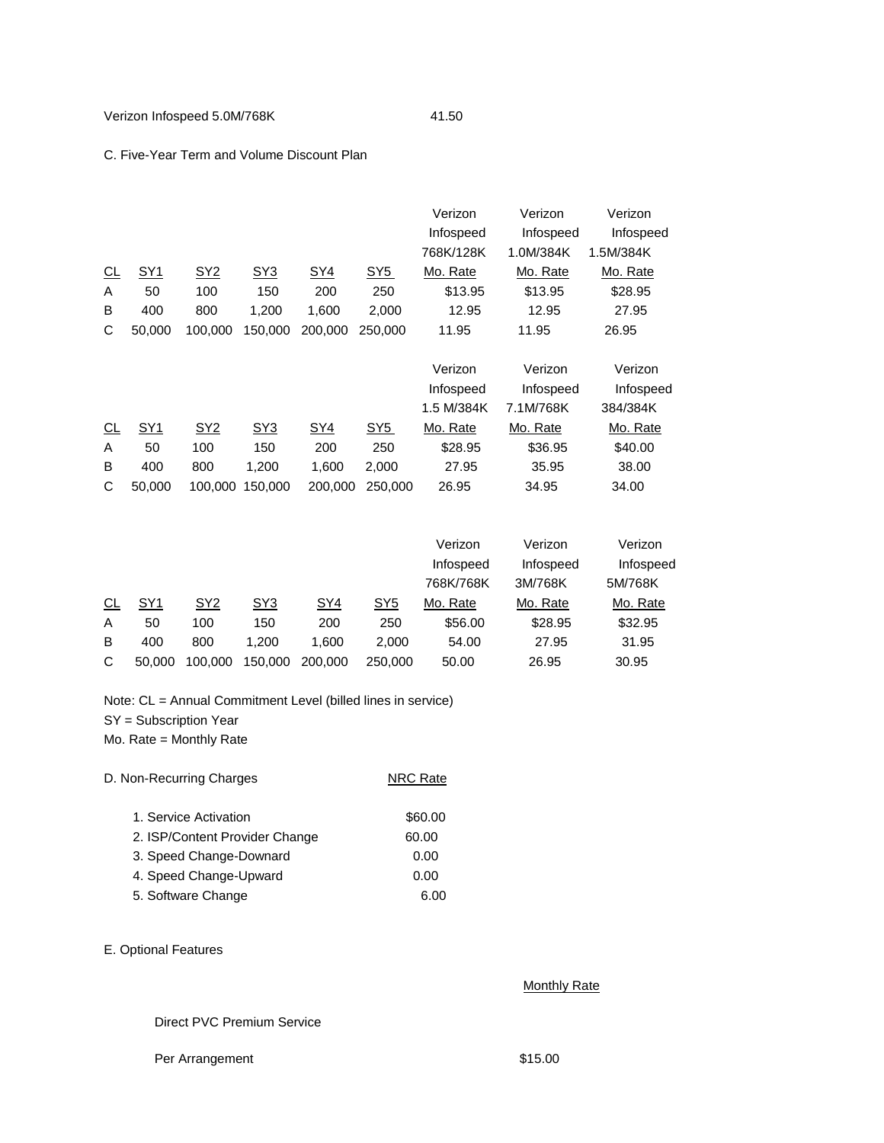# C. Five-Year Term and Volume Discount Plan

|           |            |            |            |            |            | Verizon    | Verizon   | Verizon   |
|-----------|------------|------------|------------|------------|------------|------------|-----------|-----------|
|           |            |            |            |            |            | Infospeed  | Infospeed | Infospeed |
|           |            |            |            |            |            | 768K/128K  | 1.0M/384K | 1.5M/384K |
| <u>CL</u> | <u>SY1</u> | <u>SY2</u> | SY3        | <u>SY4</u> | <u>SY5</u> | Mo. Rate   | Mo. Rate  | Mo. Rate  |
| A         | 50         | 100        | 150        | 200        | 250        | \$13.95    | \$13.95   | \$28.95   |
| В         | 400        | 800        | 1,200      | 1,600      | 2,000      | 12.95      | 12.95     | 27.95     |
| С         | 50,000     | 100.000    | 150,000    | 200,000    | 250,000    | 11.95      | 11.95     | 26.95     |
|           |            |            |            |            |            |            |           |           |
|           |            |            |            |            |            |            |           |           |
|           |            |            |            |            |            | Verizon    | Verizon   | Verizon   |
|           |            |            |            |            |            | Infospeed  | Infospeed | Infospeed |
|           |            |            |            |            |            | 1.5 M/384K | 7.1M/768K | 384/384K  |
| CL        | <u>SY1</u> | <u>SY2</u> | <u>SY3</u> | <u>SY4</u> | <u>SY5</u> | Mo. Rate   | Mo. Rate  | Mo. Rate  |
| A         | 50         | 100        | 150        | 200        | 250        | \$28.95    | \$36.95   | \$40.00   |
| B         | 400        | 800        | 1,200      | 1,600      | 2,000      | 27.95      | 35.95     | 38.00     |
| С         | 50,000     | 100,000    | 150,000    | 200,000    | 250,000    | 26.95      | 34.95     | 34.00     |

|    |                 |                 |         |         |         | Verizon   | Verizon   | Verizon   |
|----|-----------------|-----------------|---------|---------|---------|-----------|-----------|-----------|
|    |                 |                 |         |         |         | Infospeed | Infospeed | Infospeed |
|    |                 |                 |         |         |         | 768K/768K | 3M/768K   | 5M/768K   |
| CL | SY <sub>1</sub> | SY <sub>2</sub> | SY3     | SY4     | SY5     | Mo. Rate  | Mo. Rate  | Mo. Rate  |
| A  | 50              | 100             | 150     | 200     | 250     | \$56.00   | \$28.95   | \$32.95   |
| B  | 400             | 800             | 1.200   | 1.600   | 2.000   | 54.00     | 27.95     | 31.95     |
| C  | 50,000          | 100.000         | 150,000 | 200,000 | 250,000 | 50.00     | 26.95     | 30.95     |

Note: CL = Annual Commitment Level (billed lines in service)

SY = Subscription Year

Mo. Rate = Monthly Rate

| D. Non-Recurring Charges       | <b>NRC Rate</b> |
|--------------------------------|-----------------|
| 1. Service Activation          | \$60.00         |
| 2. ISP/Content Provider Change | 60.00           |
| 3. Speed Change-Downard        | 0.00            |
| 4. Speed Change-Upward         | 0.00            |
| 5. Software Change             | 6.00            |

# E. Optional Features

# **Monthly Rate**

# Direct PVC Premium Service

Per Arrangement \$15.00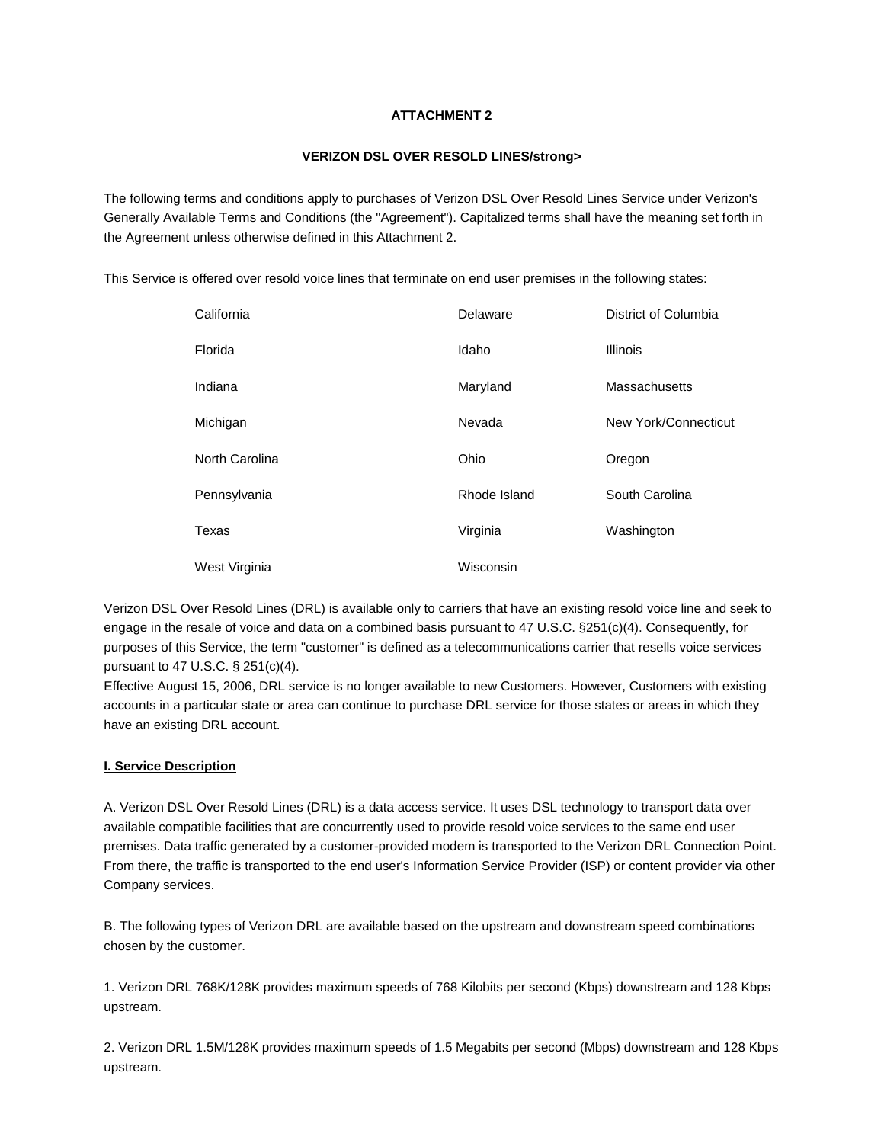# **ATTACHMENT 2**

# **VERIZON DSL OVER RESOLD LINES/strong>**

The following terms and conditions apply to purchases of Verizon DSL Over Resold Lines Service under Verizon's Generally Available Terms and Conditions (the "Agreement"). Capitalized terms shall have the meaning set forth in the Agreement unless otherwise defined in this Attachment 2.

This Service is offered over resold voice lines that terminate on end user premises in the following states:

| California     | Delaware     | District of Columbia |
|----------------|--------------|----------------------|
| Florida        | Idaho        | <b>Illinois</b>      |
| Indiana        | Maryland     | Massachusetts        |
| Michigan       | Nevada       | New York/Connecticut |
| North Carolina | Ohio         | Oregon               |
| Pennsylvania   | Rhode Island | South Carolina       |
| Texas          | Virginia     | Washington           |
| West Virginia  | Wisconsin    |                      |

Verizon DSL Over Resold Lines (DRL) is available only to carriers that have an existing resold voice line and seek to engage in the resale of voice and data on a combined basis pursuant to 47 U.S.C. §251(c)(4). Consequently, for purposes of this Service, the term "customer" is defined as a telecommunications carrier that resells voice services pursuant to 47 U.S.C. § 251(c)(4).

Effective August 15, 2006, DRL service is no longer available to new Customers. However, Customers with existing accounts in a particular state or area can continue to purchase DRL service for those states or areas in which they have an existing DRL account.

# **I. Service Description**

A. Verizon DSL Over Resold Lines (DRL) is a data access service. It uses DSL technology to transport data over available compatible facilities that are concurrently used to provide resold voice services to the same end user premises. Data traffic generated by a customer-provided modem is transported to the Verizon DRL Connection Point. From there, the traffic is transported to the end user's Information Service Provider (ISP) or content provider via other Company services.

B. The following types of Verizon DRL are available based on the upstream and downstream speed combinations chosen by the customer.

1. Verizon DRL 768K/128K provides maximum speeds of 768 Kilobits per second (Kbps) downstream and 128 Kbps upstream.

2. Verizon DRL 1.5M/128K provides maximum speeds of 1.5 Megabits per second (Mbps) downstream and 128 Kbps upstream.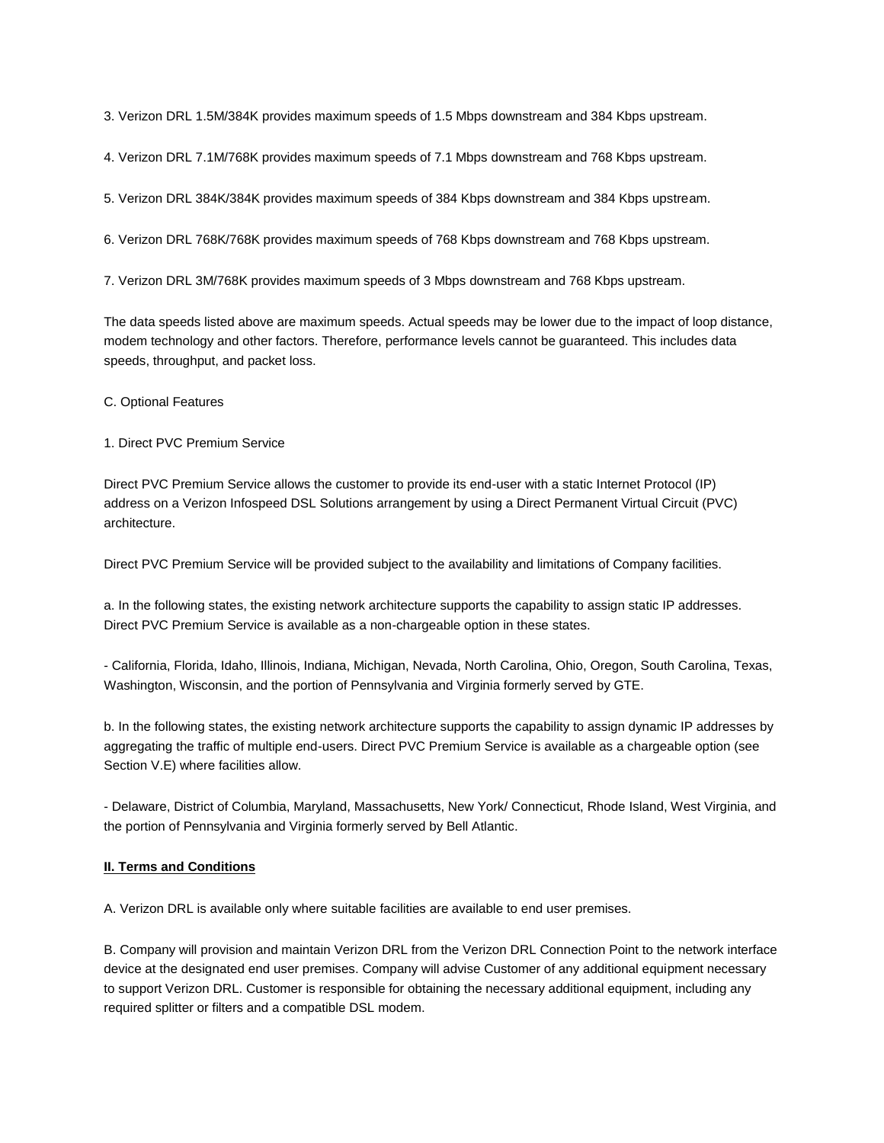3. Verizon DRL 1.5M/384K provides maximum speeds of 1.5 Mbps downstream and 384 Kbps upstream.

4. Verizon DRL 7.1M/768K provides maximum speeds of 7.1 Mbps downstream and 768 Kbps upstream.

5. Verizon DRL 384K/384K provides maximum speeds of 384 Kbps downstream and 384 Kbps upstream.

6. Verizon DRL 768K/768K provides maximum speeds of 768 Kbps downstream and 768 Kbps upstream.

7. Verizon DRL 3M/768K provides maximum speeds of 3 Mbps downstream and 768 Kbps upstream.

The data speeds listed above are maximum speeds. Actual speeds may be lower due to the impact of loop distance, modem technology and other factors. Therefore, performance levels cannot be guaranteed. This includes data speeds, throughput, and packet loss.

C. Optional Features

1. Direct PVC Premium Service

Direct PVC Premium Service allows the customer to provide its end-user with a static Internet Protocol (IP) address on a Verizon Infospeed DSL Solutions arrangement by using a Direct Permanent Virtual Circuit (PVC) architecture.

Direct PVC Premium Service will be provided subject to the availability and limitations of Company facilities.

a. In the following states, the existing network architecture supports the capability to assign static IP addresses. Direct PVC Premium Service is available as a non-chargeable option in these states.

- California, Florida, Idaho, Illinois, Indiana, Michigan, Nevada, North Carolina, Ohio, Oregon, South Carolina, Texas, Washington, Wisconsin, and the portion of Pennsylvania and Virginia formerly served by GTE.

b. In the following states, the existing network architecture supports the capability to assign dynamic IP addresses by aggregating the traffic of multiple end-users. Direct PVC Premium Service is available as a chargeable option (see Section V.E) where facilities allow.

- Delaware, District of Columbia, Maryland, Massachusetts, New York/ Connecticut, Rhode Island, West Virginia, and the portion of Pennsylvania and Virginia formerly served by Bell Atlantic.

#### **II. Terms and Conditions**

A. Verizon DRL is available only where suitable facilities are available to end user premises.

B. Company will provision and maintain Verizon DRL from the Verizon DRL Connection Point to the network interface device at the designated end user premises. Company will advise Customer of any additional equipment necessary to support Verizon DRL. Customer is responsible for obtaining the necessary additional equipment, including any required splitter or filters and a compatible DSL modem.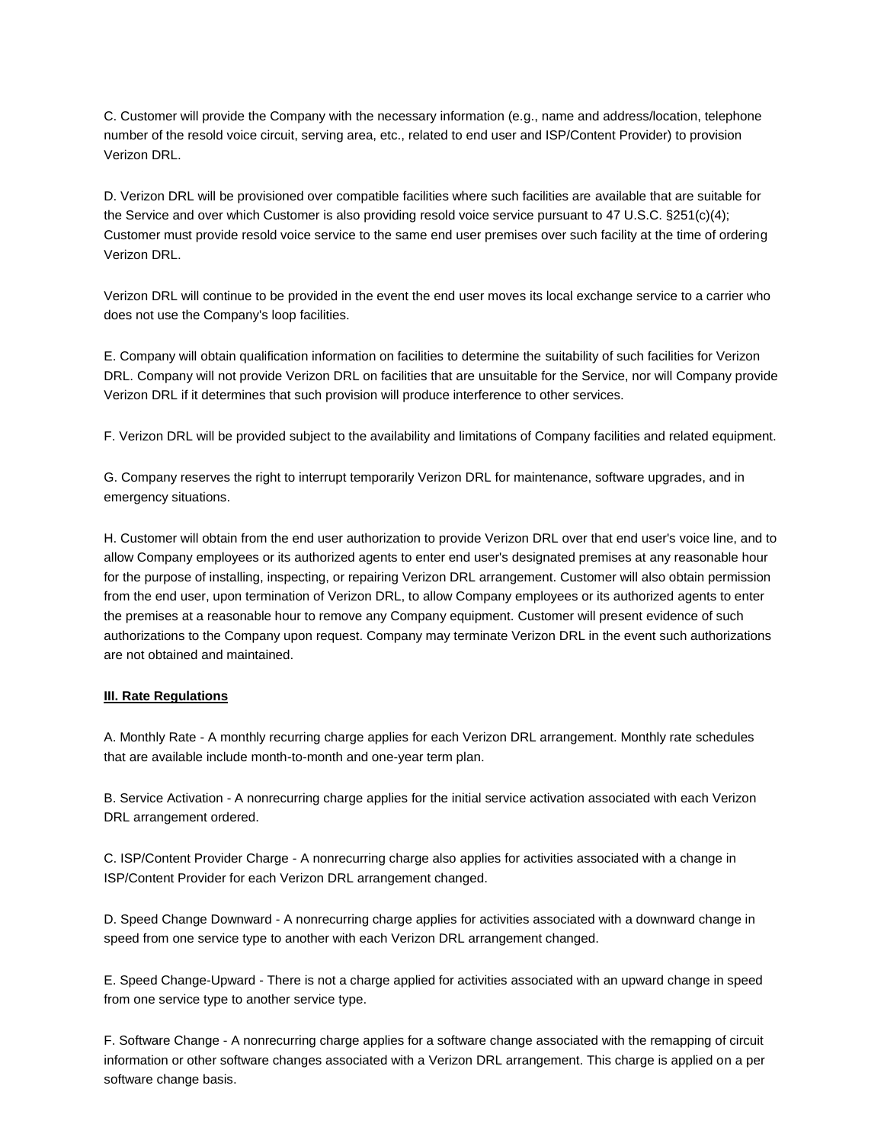C. Customer will provide the Company with the necessary information (e.g., name and address/location, telephone number of the resold voice circuit, serving area, etc., related to end user and ISP/Content Provider) to provision Verizon DRL.

D. Verizon DRL will be provisioned over compatible facilities where such facilities are available that are suitable for the Service and over which Customer is also providing resold voice service pursuant to 47 U.S.C. §251(c)(4); Customer must provide resold voice service to the same end user premises over such facility at the time of ordering Verizon DRL.

Verizon DRL will continue to be provided in the event the end user moves its local exchange service to a carrier who does not use the Company's loop facilities.

E. Company will obtain qualification information on facilities to determine the suitability of such facilities for Verizon DRL. Company will not provide Verizon DRL on facilities that are unsuitable for the Service, nor will Company provide Verizon DRL if it determines that such provision will produce interference to other services.

F. Verizon DRL will be provided subject to the availability and limitations of Company facilities and related equipment.

G. Company reserves the right to interrupt temporarily Verizon DRL for maintenance, software upgrades, and in emergency situations.

H. Customer will obtain from the end user authorization to provide Verizon DRL over that end user's voice line, and to allow Company employees or its authorized agents to enter end user's designated premises at any reasonable hour for the purpose of installing, inspecting, or repairing Verizon DRL arrangement. Customer will also obtain permission from the end user, upon termination of Verizon DRL, to allow Company employees or its authorized agents to enter the premises at a reasonable hour to remove any Company equipment. Customer will present evidence of such authorizations to the Company upon request. Company may terminate Verizon DRL in the event such authorizations are not obtained and maintained.

## **III. Rate Regulations**

A. Monthly Rate - A monthly recurring charge applies for each Verizon DRL arrangement. Monthly rate schedules that are available include month-to-month and one-year term plan.

B. Service Activation - A nonrecurring charge applies for the initial service activation associated with each Verizon DRL arrangement ordered.

C. ISP/Content Provider Charge - A nonrecurring charge also applies for activities associated with a change in ISP/Content Provider for each Verizon DRL arrangement changed.

D. Speed Change Downward - A nonrecurring charge applies for activities associated with a downward change in speed from one service type to another with each Verizon DRL arrangement changed.

E. Speed Change-Upward - There is not a charge applied for activities associated with an upward change in speed from one service type to another service type.

F. Software Change - A nonrecurring charge applies for a software change associated with the remapping of circuit information or other software changes associated with a Verizon DRL arrangement. This charge is applied on a per software change basis.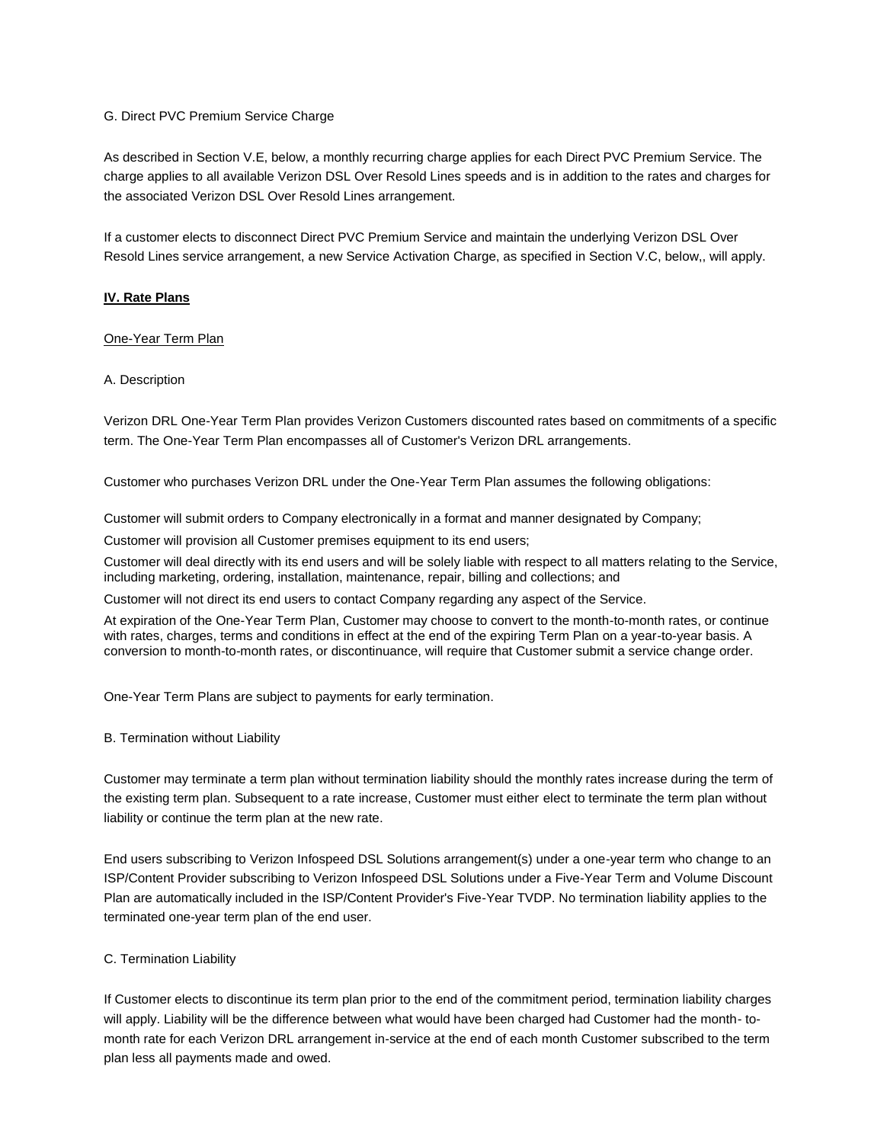## G. Direct PVC Premium Service Charge

As described in Section V.E, below, a monthly recurring charge applies for each Direct PVC Premium Service. The charge applies to all available Verizon DSL Over Resold Lines speeds and is in addition to the rates and charges for the associated Verizon DSL Over Resold Lines arrangement.

If a customer elects to disconnect Direct PVC Premium Service and maintain the underlying Verizon DSL Over Resold Lines service arrangement, a new Service Activation Charge, as specified in Section V.C, below,, will apply.

# **IV. Rate Plans**

## One-Year Term Plan

## A. Description

Verizon DRL One-Year Term Plan provides Verizon Customers discounted rates based on commitments of a specific term. The One-Year Term Plan encompasses all of Customer's Verizon DRL arrangements.

Customer who purchases Verizon DRL under the One-Year Term Plan assumes the following obligations:

Customer will submit orders to Company electronically in a format and manner designated by Company;

Customer will provision all Customer premises equipment to its end users;

Customer will deal directly with its end users and will be solely liable with respect to all matters relating to the Service, including marketing, ordering, installation, maintenance, repair, billing and collections; and

Customer will not direct its end users to contact Company regarding any aspect of the Service.

At expiration of the One-Year Term Plan, Customer may choose to convert to the month-to-month rates, or continue with rates, charges, terms and conditions in effect at the end of the expiring Term Plan on a year-to-year basis. A conversion to month-to-month rates, or discontinuance, will require that Customer submit a service change order.

One-Year Term Plans are subject to payments for early termination.

B. Termination without Liability

Customer may terminate a term plan without termination liability should the monthly rates increase during the term of the existing term plan. Subsequent to a rate increase, Customer must either elect to terminate the term plan without liability or continue the term plan at the new rate.

End users subscribing to Verizon Infospeed DSL Solutions arrangement(s) under a one-year term who change to an ISP/Content Provider subscribing to Verizon Infospeed DSL Solutions under a Five-Year Term and Volume Discount Plan are automatically included in the ISP/Content Provider's Five-Year TVDP. No termination liability applies to the terminated one-year term plan of the end user.

## C. Termination Liability

If Customer elects to discontinue its term plan prior to the end of the commitment period, termination liability charges will apply. Liability will be the difference between what would have been charged had Customer had the month- tomonth rate for each Verizon DRL arrangement in-service at the end of each month Customer subscribed to the term plan less all payments made and owed.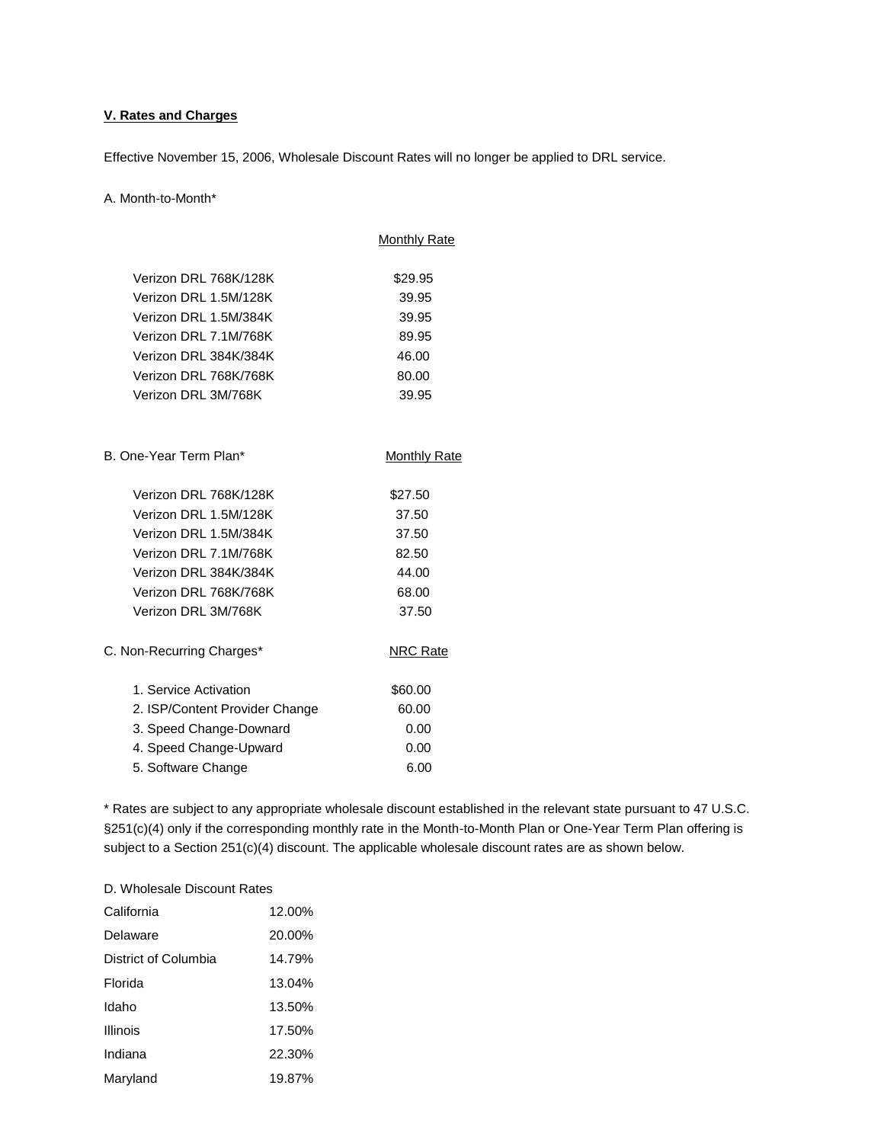# **V. Rates and Charges**

Effective November 15, 2006, Wholesale Discount Rates will no longer be applied to DRL service.

#### A. Month-to-Month\*

|                                | <b>Monthly Rate</b> |
|--------------------------------|---------------------|
|                                |                     |
| Verizon DRL 768K/128K          | \$29.95             |
| Verizon DRL 1.5M/128K          | 39.95               |
| Verizon DRL 1.5M/384K          | 39.95               |
| Verizon DRL 7.1M/768K          | 89.95               |
| Verizon DRL 384K/384K          | 46.00               |
| Verizon DRL 768K/768K          | 80.00               |
| Verizon DRL 3M/768K            | 39.95               |
|                                |                     |
| B. One-Year Term Plan*         | <b>Monthly Rate</b> |
| Verizon DRL 768K/128K          | \$27.50             |
| Verizon DRL 1.5M/128K          | 37.50               |
| Verizon DRL 1.5M/384K          | 37.50               |
| Verizon DRL 7.1M/768K          | 82.50               |
| Verizon DRL 384K/384K          | 44.00               |
| Verizon DRL 768K/768K          | 68.00               |
| Verizon DRL 3M/768K            | 37.50               |
| C. Non-Recurring Charges*      | <b>NRC Rate</b>     |
| 1. Service Activation          | \$60.00             |
| 2. ISP/Content Provider Change | 60.00               |
| 3. Speed Change-Downard        | 0.00                |
| 4. Speed Change-Upward         | 0.00                |
| 5. Software Change             | 6.00                |

\* Rates are subject to any appropriate wholesale discount established in the relevant state pursuant to 47 U.S.C. §251(c)(4) only if the corresponding monthly rate in the Month-to-Month Plan or One-Year Term Plan offering is subject to a Section 251(c)(4) discount. The applicable wholesale discount rates are as shown below.

# D. Wholesale Discount Rates

| California           | 12.00% |
|----------------------|--------|
| Delaware             | 20.00% |
| District of Columbia | 14.79% |
| Florida              | 13.04% |
| Idaho                | 13.50% |
| <b>Illinois</b>      | 17.50% |
| Indiana              | 22.30% |
| Maryland             | 19.87% |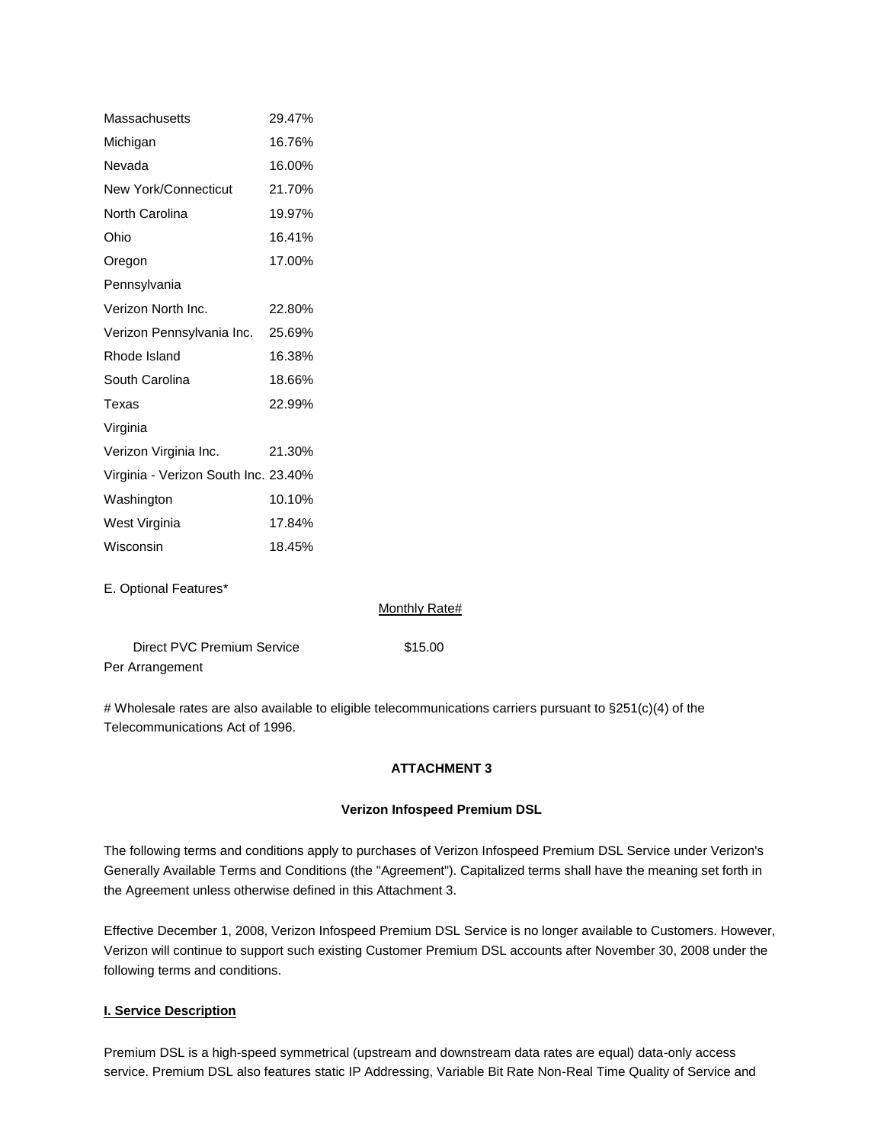| Massachusetts                        | 29.47% |
|--------------------------------------|--------|
| Michigan                             | 16.76% |
| Nevada                               | 16.00% |
| <b>New York/Connecticut</b>          | 21.70% |
| North Carolina                       | 19.97% |
| Ohio                                 | 16.41% |
| Oregon                               | 17.00% |
| Pennsylvania                         |        |
| Verizon North Inc.                   | 22.80% |
| Verizon Pennsylvania Inc.            | 25.69% |
| Rhode Island                         | 16.38% |
| South Carolina                       | 18.66% |
| Texas                                | 22.99% |
| Virginia                             |        |
| Verizon Virginia Inc.                | 21.30% |
| Virginia - Verizon South Inc. 23.40% |        |
| Washington                           | 10.10% |
| West Virginia                        | 17.84% |
| Wisconsin                            | 18.45% |
|                                      |        |

E. Optional Features\*

Monthly Rate#

| Direct PVC Premium Service | \$15.00 |
|----------------------------|---------|
| Per Arrangement            |         |

# Wholesale rates are also available to eligible telecommunications carriers pursuant to §251(c)(4) of the Telecommunications Act of 1996.

# **ATTACHMENT 3**

# **Verizon Infospeed Premium DSL**

The following terms and conditions apply to purchases of Verizon Infospeed Premium DSL Service under Verizon's Generally Available Terms and Conditions (the "Agreement"). Capitalized terms shall have the meaning set forth in the Agreement unless otherwise defined in this Attachment 3.

Effective December 1, 2008, Verizon Infospeed Premium DSL Service is no longer available to Customers. However, Verizon will continue to support such existing Customer Premium DSL accounts after November 30, 2008 under the following terms and conditions.

## **I. Service Description**

Premium DSL is a high-speed symmetrical (upstream and downstream data rates are equal) data-only access service. Premium DSL also features static IP Addressing, Variable Bit Rate Non-Real Time Quality of Service and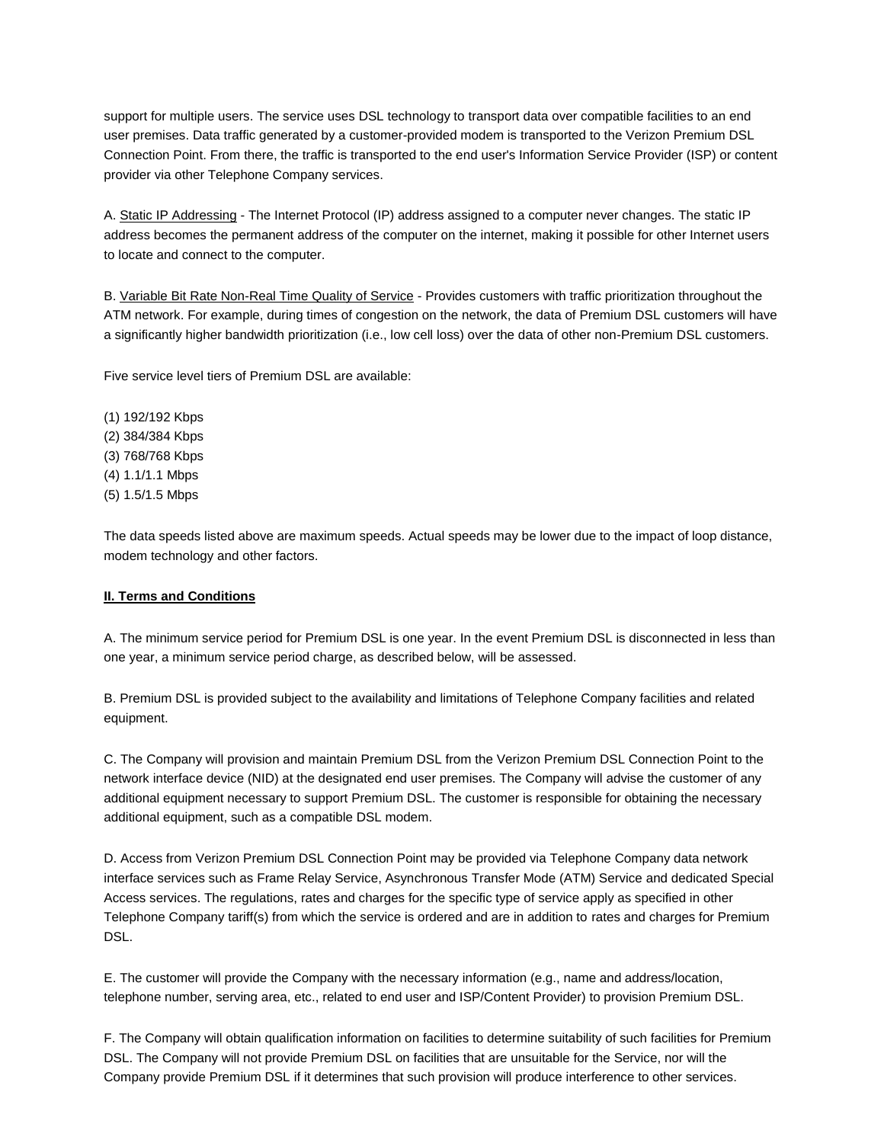support for multiple users. The service uses DSL technology to transport data over compatible facilities to an end user premises. Data traffic generated by a customer-provided modem is transported to the Verizon Premium DSL Connection Point. From there, the traffic is transported to the end user's Information Service Provider (ISP) or content provider via other Telephone Company services.

A. Static IP Addressing - The Internet Protocol (IP) address assigned to a computer never changes. The static IP address becomes the permanent address of the computer on the internet, making it possible for other Internet users to locate and connect to the computer.

B. Variable Bit Rate Non-Real Time Quality of Service - Provides customers with traffic prioritization throughout the ATM network. For example, during times of congestion on the network, the data of Premium DSL customers will have a significantly higher bandwidth prioritization (i.e., low cell loss) over the data of other non-Premium DSL customers.

Five service level tiers of Premium DSL are available:

(1) 192/192 Kbps (2) 384/384 Kbps (3) 768/768 Kbps (4) 1.1/1.1 Mbps (5) 1.5/1.5 Mbps

The data speeds listed above are maximum speeds. Actual speeds may be lower due to the impact of loop distance, modem technology and other factors.

## **II. Terms and Conditions**

A. The minimum service period for Premium DSL is one year. In the event Premium DSL is disconnected in less than one year, a minimum service period charge, as described below, will be assessed.

B. Premium DSL is provided subject to the availability and limitations of Telephone Company facilities and related equipment.

C. The Company will provision and maintain Premium DSL from the Verizon Premium DSL Connection Point to the network interface device (NID) at the designated end user premises. The Company will advise the customer of any additional equipment necessary to support Premium DSL. The customer is responsible for obtaining the necessary additional equipment, such as a compatible DSL modem.

D. Access from Verizon Premium DSL Connection Point may be provided via Telephone Company data network interface services such as Frame Relay Service, Asynchronous Transfer Mode (ATM) Service and dedicated Special Access services. The regulations, rates and charges for the specific type of service apply as specified in other Telephone Company tariff(s) from which the service is ordered and are in addition to rates and charges for Premium DSL.

E. The customer will provide the Company with the necessary information (e.g., name and address/location, telephone number, serving area, etc., related to end user and ISP/Content Provider) to provision Premium DSL.

F. The Company will obtain qualification information on facilities to determine suitability of such facilities for Premium DSL. The Company will not provide Premium DSL on facilities that are unsuitable for the Service, nor will the Company provide Premium DSL if it determines that such provision will produce interference to other services.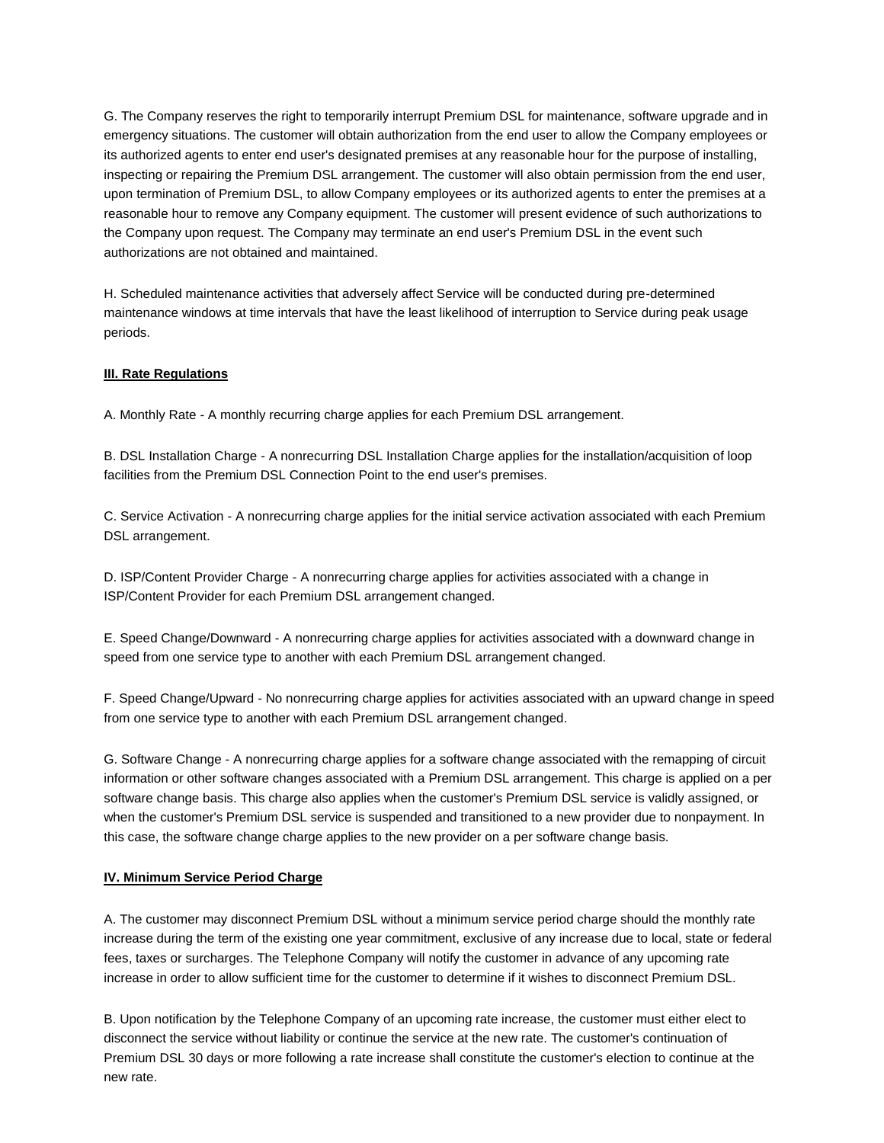G. The Company reserves the right to temporarily interrupt Premium DSL for maintenance, software upgrade and in emergency situations. The customer will obtain authorization from the end user to allow the Company employees or its authorized agents to enter end user's designated premises at any reasonable hour for the purpose of installing, inspecting or repairing the Premium DSL arrangement. The customer will also obtain permission from the end user, upon termination of Premium DSL, to allow Company employees or its authorized agents to enter the premises at a reasonable hour to remove any Company equipment. The customer will present evidence of such authorizations to the Company upon request. The Company may terminate an end user's Premium DSL in the event such authorizations are not obtained and maintained.

H. Scheduled maintenance activities that adversely affect Service will be conducted during pre-determined maintenance windows at time intervals that have the least likelihood of interruption to Service during peak usage periods.

## **III. Rate Regulations**

A. Monthly Rate - A monthly recurring charge applies for each Premium DSL arrangement.

B. DSL Installation Charge - A nonrecurring DSL Installation Charge applies for the installation/acquisition of loop facilities from the Premium DSL Connection Point to the end user's premises.

C. Service Activation - A nonrecurring charge applies for the initial service activation associated with each Premium DSL arrangement.

D. ISP/Content Provider Charge - A nonrecurring charge applies for activities associated with a change in ISP/Content Provider for each Premium DSL arrangement changed.

E. Speed Change/Downward - A nonrecurring charge applies for activities associated with a downward change in speed from one service type to another with each Premium DSL arrangement changed.

F. Speed Change/Upward - No nonrecurring charge applies for activities associated with an upward change in speed from one service type to another with each Premium DSL arrangement changed.

G. Software Change - A nonrecurring charge applies for a software change associated with the remapping of circuit information or other software changes associated with a Premium DSL arrangement. This charge is applied on a per software change basis. This charge also applies when the customer's Premium DSL service is validly assigned, or when the customer's Premium DSL service is suspended and transitioned to a new provider due to nonpayment. In this case, the software change charge applies to the new provider on a per software change basis.

#### **IV. Minimum Service Period Charge**

A. The customer may disconnect Premium DSL without a minimum service period charge should the monthly rate increase during the term of the existing one year commitment, exclusive of any increase due to local, state or federal fees, taxes or surcharges. The Telephone Company will notify the customer in advance of any upcoming rate increase in order to allow sufficient time for the customer to determine if it wishes to disconnect Premium DSL.

B. Upon notification by the Telephone Company of an upcoming rate increase, the customer must either elect to disconnect the service without liability or continue the service at the new rate. The customer's continuation of Premium DSL 30 days or more following a rate increase shall constitute the customer's election to continue at the new rate.